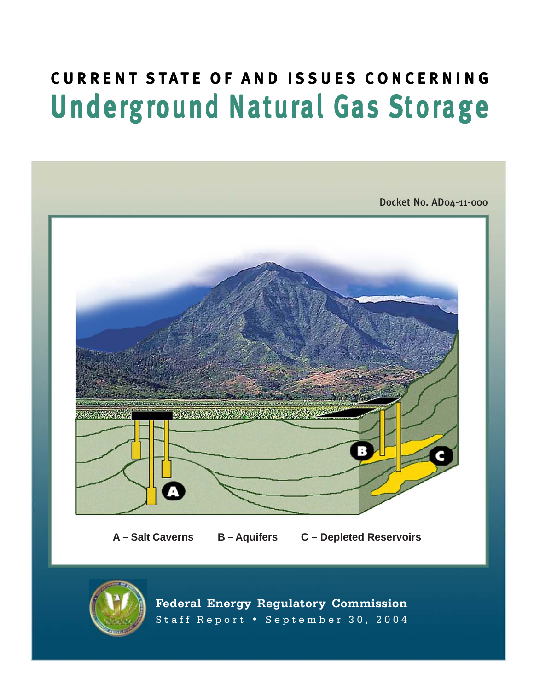# CURRENT STATE OF AND ISSUES CONCERNING Underground Natural Gas Storage



**Federal Energy Regulatory Commission** Staff Report • September 30, 2004

 $\mathcal{F}_{\mathcal{F}}$  . Energy Regulatory Commission  $\mathcal{F}_{\mathcal{F}}$  regulation  $\mathcal{F}_{\mathcal{F}}$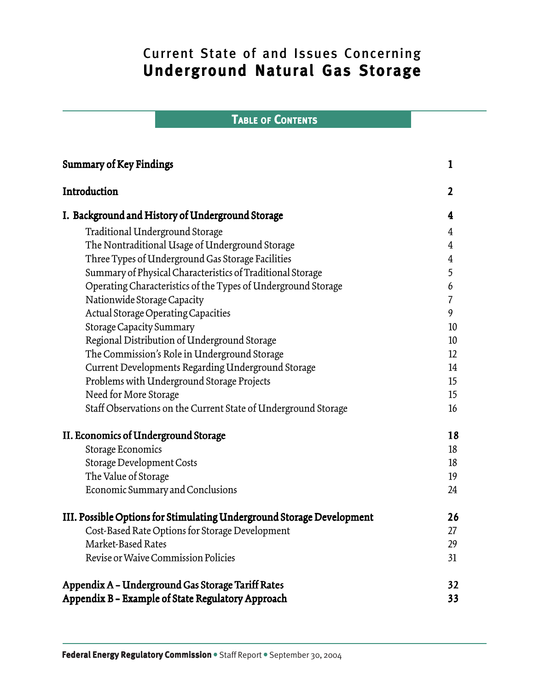# Current State of and Issues Concerning Underground Natural Gas Storage

# TABLE OF CONTENTS

| <b>Summary of Key Findings</b>                                        | 1              |
|-----------------------------------------------------------------------|----------------|
| Introduction                                                          | $\overline{2}$ |
| I. Background and History of Underground Storage                      | 4              |
| Traditional Underground Storage                                       | $\overline{4}$ |
| The Nontraditional Usage of Underground Storage                       | 4              |
| Three Types of Underground Gas Storage Facilities                     | $\overline{4}$ |
| Summary of Physical Characteristics of Traditional Storage            | 5              |
| Operating Characteristics of the Types of Underground Storage         | 6              |
| Nationwide Storage Capacity                                           | $\overline{7}$ |
| <b>Actual Storage Operating Capacities</b>                            | 9              |
| <b>Storage Capacity Summary</b>                                       | 10             |
| Regional Distribution of Underground Storage                          | 10             |
| The Commission's Role in Underground Storage                          | 12             |
| Current Developments Regarding Underground Storage                    | 14             |
| Problems with Underground Storage Projects                            | 15             |
| Need for More Storage                                                 | 15             |
| Staff Observations on the Current State of Underground Storage        | 16             |
| II. Economics of Underground Storage                                  | 18             |
| Storage Economics                                                     | 18             |
| Storage Development Costs                                             | 18             |
| The Value of Storage                                                  | 19             |
| Economic Summary and Conclusions                                      | 24             |
| III. Possible Options for Stimulating Underground Storage Development | 26             |
| Cost-Based Rate Options for Storage Development                       | 27             |
| Market-Based Rates                                                    | 29             |
| Revise or Waive Commission Policies                                   | 31             |
| Appendix A - Underground Gas Storage Tariff Rates                     | 32             |
| Appendix B - Example of State Regulatory Approach                     | 33             |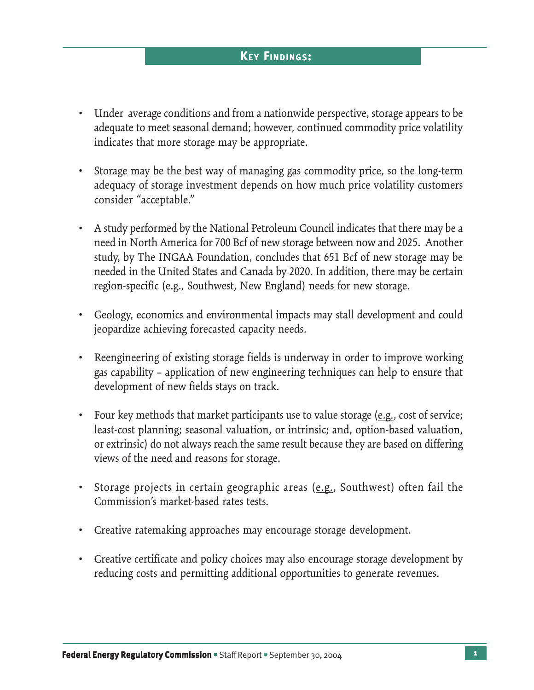## **KEY FINDINGS:**

- Under average conditions and from a nationwide perspective, storage appears to be adequate to meet seasonal demand; however, continued commodity price volatility indicates that more storage may be appropriate.
- Storage may be the best way of managing gas commodity price, so the long-term adequacy of storage investment depends on how much price volatility customers consider "acceptable."
- A study performed by the National Petroleum Council indicates that there may be a need in North America for 700 Bcf of new storage between now and 2025. Another study, by The INGAA Foundation, concludes that 651 Bcf of new storage may be needed in the United States and Canada by 2020. In addition, there may be certain region-specific (e.g., Southwest, New England) needs for new storage.
- Geology, economics and environmental impacts may stall development and could jeopardize achieving forecasted capacity needs.
- Reengineering of existing storage fields is underway in order to improve working gas capability – application of new engineering techniques can help to ensure that development of new fields stays on track.
- Four key methods that market participants use to value storage (e.g., cost of service; least-cost planning; seasonal valuation, or intrinsic; and, option-based valuation, or extrinsic) do not always reach the same result because they are based on differing views of the need and reasons for storage.
- Storage projects in certain geographic areas (e.g., Southwest) often fail the Commission's market-based rates tests.
- Creative ratemaking approaches may encourage storage development.
- Creative certificate and policy choices may also encourage storage development by reducing costs and permitting additional opportunities to generate revenues.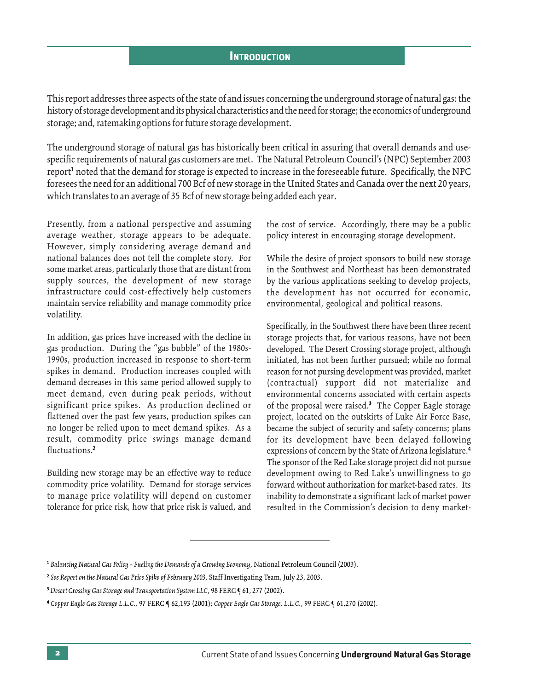#### **INTRODUCTION**

This report addresses three aspects of the state of and issues concerning the underground storage of natural gas: the history of storage development and its physical characteristics and the need for storage; the economics of underground storage; and, ratemaking options for future storage development.

The underground storage of natural gas has historically been critical in assuring that overall demands and usespecific requirements of natural gas customers are met. The Natural Petroleum Council's (NPC) September 2003 report<sup>1</sup> noted that the demand for storage is expected to increase in the foreseeable future. Specifically, the NPC foresees the need for an additional 700 Bcf of new storage in the United States and Canada over the next 20 years, which translates to an average of 35 Bcf of new storage being added each year.

Presently, from a national perspective and assuming average weather, storage appears to be adequate. However, simply considering average demand and national balances does not tell the complete story. For some market areas, particularly those that are distant from supply sources, the development of new storage infrastructure could cost-effectively help customers maintain service reliability and manage commodity price volatility.

In addition, gas prices have increased with the decline in gas production. During the "gas bubble" of the 1980s-1990s, production increased in response to short-term spikes in demand. Production increases coupled with demand decreases in this same period allowed supply to meet demand, even during peak periods, without significant price spikes. As production declined or flattened over the past few years, production spikes can no longer be relied upon to meet demand spikes. As a result, commodity price swings manage demand fluctuations.2

Building new storage may be an effective way to reduce commodity price volatility. Demand for storage services to manage price volatility will depend on customer tolerance for price risk, how that price risk is valued, and the cost of service. Accordingly, there may be a public policy interest in encouraging storage development.

While the desire of project sponsors to build new storage in the Southwest and Northeast has been demonstrated by the various applications seeking to develop projects, the development has not occurred for economic, environmental, geological and political reasons.

Specifically, in the Southwest there have been three recent storage projects that, for various reasons, have not been developed. The Desert Crossing storage project, although initiated, has not been further pursued; while no formal reason for not pursing development was provided, market (contractual) support did not materialize and environmental concerns associated with certain aspects of the proposal were raised.<sup>3</sup> The Copper Eagle storage project, located on the outskirts of Luke Air Force Base, became the subject of security and safety concerns; plans for its development have been delayed following expressions of concern by the State of Arizona legislature.4 The sponsor of the Red Lake storage project did not pursue development owing to Red Lake's unwillingness to go forward without authorization for market-based rates. Its inability to demonstrate a significant lack of market power resulted in the Commission's decision to deny market-

<sup>1</sup> *Balancing Natural Gas Policy – Fueling the Demands of a Growing Economy*, National Petroleum Council (2003).

<sup>2</sup> *See Report on the Natural Gas Price Spike of February 2003,* Staff Investigating Team, July 23, 2003.

<sup>&</sup>lt;sup>3</sup> Desert Crossing Gas Storage and Transportation System LLC, 98 FERC  $\P$  61, 277 (2002).

<sup>4</sup> *Copper Eagle Gas Storage L.L.C.,* 97 FERC ¶ 62,193 (2001); *Copper Eagle Gas Storage, L.L.C.*, 99 FERC ¶ 61,270 (2002).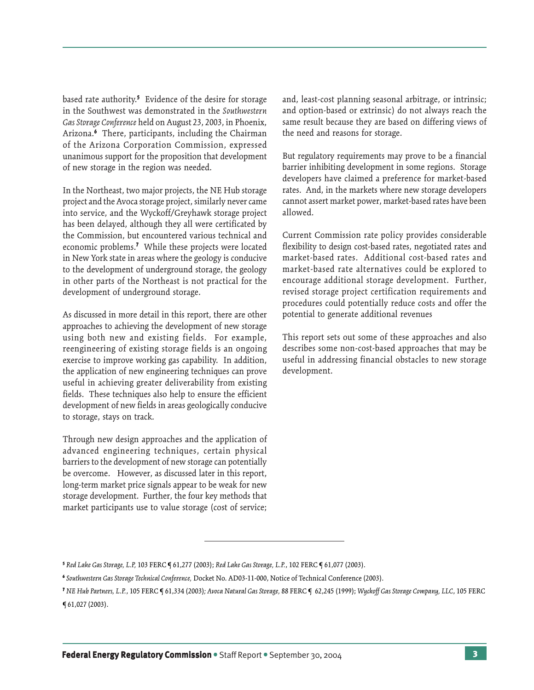based rate authority.5 Evidence of the desire for storage in the Southwest was demonstrated in the *Southwestern Gas Storage Conference* held on August 23, 2003, in Phoenix, Arizona.6 There, participants, including the Chairman of the Arizona Corporation Commission, expressed unanimous support for the proposition that development of new storage in the region was needed.

In the Northeast, two major projects, the NE Hub storage project and the Avoca storage project, similarly never came into service, and the Wyckoff/Greyhawk storage project has been delayed, although they all were certificated by the Commission, but encountered various technical and economic problems.7 While these projects were located in New York state in areas where the geology is conducive to the development of underground storage, the geology in other parts of the Northeast is not practical for the development of underground storage.

As discussed in more detail in this report, there are other approaches to achieving the development of new storage using both new and existing fields. For example, reengineering of existing storage fields is an ongoing exercise to improve working gas capability. In addition, the application of new engineering techniques can prove useful in achieving greater deliverability from existing fields. These techniques also help to ensure the efficient development of new fields in areas geologically conducive to storage, stays on track.

Through new design approaches and the application of advanced engineering techniques, certain physical barriers to the development of new storage can potentially be overcome. However, as discussed later in this report, long-term market price signals appear to be weak for new storage development. Further, the four key methods that market participants use to value storage (cost of service;

and, least-cost planning seasonal arbitrage, or intrinsic; and option-based or extrinsic) do not always reach the same result because they are based on differing views of the need and reasons for storage.

But regulatory requirements may prove to be a financial barrier inhibiting development in some regions. Storage developers have claimed a preference for market-based rates. And, in the markets where new storage developers cannot assert market power, market-based rates have been allowed.

Current Commission rate policy provides considerable flexibility to design cost-based rates, negotiated rates and market-based rates. Additional cost-based rates and market-based rate alternatives could be explored to encourage additional storage development. Further, revised storage project certification requirements and procedures could potentially reduce costs and offer the potential to generate additional revenues

This report sets out some of these approaches and also describes some non-cost-based approaches that may be useful in addressing financial obstacles to new storage development.

<sup>5</sup> *Red Lake Gas Storage, L.P,* 103 FERC ¶ 61,277 (2003); *Red Lake Gas Storage, L.P.*, 102 FERC ¶ 61,077 (2003).

<sup>6</sup> *Southwestern Gas Storage Technical Conference,* Docket No. AD03-11-000, Notice of Technical Conference (2003).

<sup>7</sup> *NE Hub Partners, L.P.*, 105 FERC ¶ 61,334 (2003)*; Avoca Natural Gas Storage,* 88 FERC ¶ 62,245 (1999); *Wyckoff Gas Storage Company, LLC*, 105 FERC ¶ 61,027 (2003).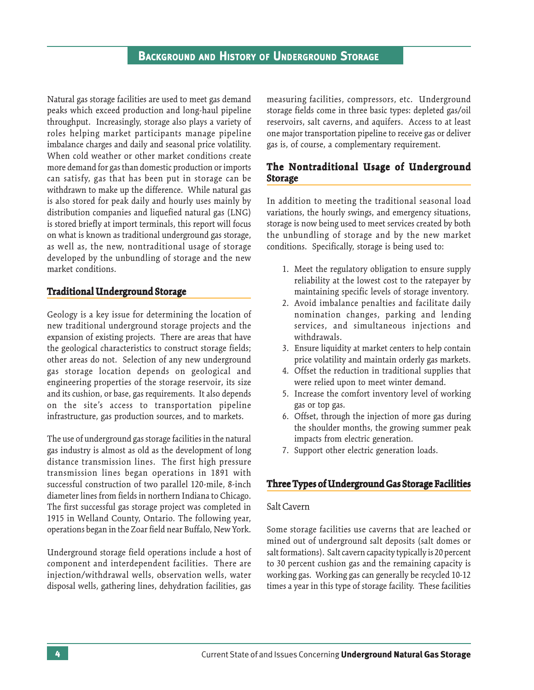Natural gas storage facilities are used to meet gas demand peaks which exceed production and long-haul pipeline throughput. Increasingly, storage also plays a variety of roles helping market participants manage pipeline imbalance charges and daily and seasonal price volatility. When cold weather or other market conditions create more demand for gas than domestic production or imports can satisfy, gas that has been put in storage can be withdrawn to make up the difference. While natural gas is also stored for peak daily and hourly uses mainly by distribution companies and liquefied natural gas (LNG) is stored briefly at import terminals, this report will focus on what is known as traditional underground gas storage, as well as, the new, nontraditional usage of storage developed by the unbundling of storage and the new market conditions.

## **Traditional Under raditional Underground Storage**

Geology is a key issue for determining the location of new traditional underground storage projects and the expansion of existing projects. There are areas that have the geological characteristics to construct storage fields; other areas do not. Selection of any new underground gas storage location depends on geological and engineering properties of the storage reservoir, its size and its cushion, or base, gas requirements. It also depends on the site's access to transportation pipeline infrastructure, gas production sources, and to markets.

The use of underground gas storage facilities in the natural gas industry is almost as old as the development of long distance transmission lines. The first high pressure transmission lines began operations in 1891 with successful construction of two parallel 120-mile, 8-inch diameter lines from fields in northern Indiana to Chicago. The first successful gas storage project was completed in 1915 in Welland County, Ontario. The following year, operations began in the Zoar field near Buffalo, New York.

Underground storage field operations include a host of component and interdependent facilities. There are injection/withdrawal wells, observation wells, water disposal wells, gathering lines, dehydration facilities, gas measuring facilities, compressors, etc. Underground storage fields come in three basic types: depleted gas/oil reservoirs, salt caverns, and aquifers. Access to at least one major transportation pipeline to receive gas or deliver gas is, of course, a complementary requirement.

## **The Nontraditional Usage of Underground Storage**

In addition to meeting the traditional seasonal load variations, the hourly swings, and emergency situations, storage is now being used to meet services created by both the unbundling of storage and by the new market conditions. Specifically, storage is being used to:

- 1. Meet the regulatory obligation to ensure supply reliability at the lowest cost to the ratepayer by maintaining specific levels of storage inventory.
- 2. Avoid imbalance penalties and facilitate daily nomination changes, parking and lending services, and simultaneous injections and withdrawals.
- 3. Ensure liquidity at market centers to help contain price volatility and maintain orderly gas markets.
- 4. Offset the reduction in traditional supplies that were relied upon to meet winter demand.
- 5. Increase the comfort inventory level of working gas or top gas.
- 6. Offset, through the injection of more gas during the shoulder months, the growing summer peak impacts from electric generation.
- 7. Support other electric generation loads.

## **Three Types of Underground Gas Storage Facilities Types of Storage**

#### Salt Cavern

Some storage facilities use caverns that are leached or mined out of underground salt deposits (salt domes or salt formations). Salt cavern capacity typically is 20 percent to 30 percent cushion gas and the remaining capacity is working gas. Working gas can generally be recycled 10-12 times a year in this type of storage facility. These facilities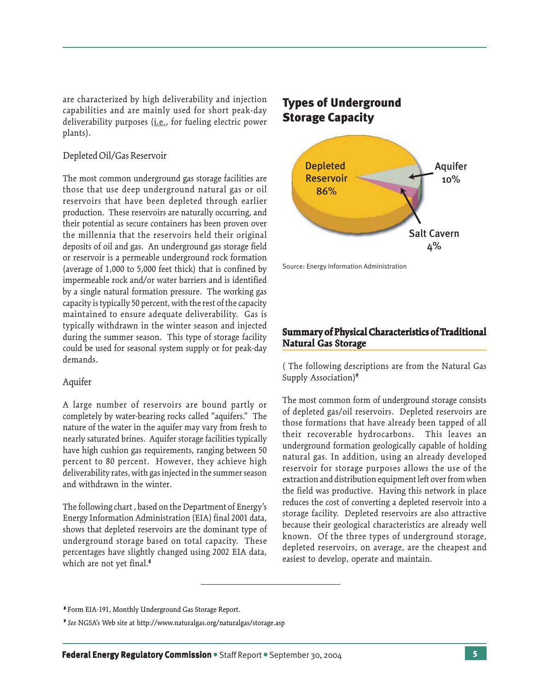are characterized by high deliverability and injection capabilities and are mainly used for short peak-day deliverability purposes (*i.e.*, for fueling electric power plants).

## Depleted Oil/Gas Reservoir

The most common underground gas storage facilities are those that use deep underground natural gas or oil reservoirs that have been depleted through earlier production. These reservoirs are naturally occurring, and their potential as secure containers has been proven over the millennia that the reservoirs held their original deposits of oil and gas. An underground gas storage field or reservoir is a permeable underground rock formation (average of 1,000 to 5,000 feet thick) that is confined by impermeable rock and/or water barriers and is identified by a single natural formation pressure. The working gas capacity is typically 50 percent, with the rest of the capacity maintained to ensure adequate deliverability. Gas is typically withdrawn in the winter season and injected during the summer season. This type of storage facility could be used for seasonal system supply or for peak-day demands.

#### Aquifer

A large number of reservoirs are bound partly or completely by water-bearing rocks called "aquifers." The nature of the water in the aquifer may vary from fresh to nearly saturated brines. Aquifer storage facilities typically have high cushion gas requirements, ranging between 50 percent to 80 percent. However, they achieve high deliverability rates, with gas injected in the summer season and withdrawn in the winter.

The following chart , based on the Department of Energy's Energy Information Administration (EIA) final 2001 data, shows that depleted reservoirs are the dominant type of underground storage based on total capacity. These percentages have slightly changed using 2002 EIA data, which are not yet final.<sup>8</sup>

## Types of Underground Storage Capacity



Source: Energy Information Administration

## **Summary of Physical Characteristics of Traditional Natural Gas Storage**

( The following descriptions are from the Natural Gas Supply Association)<sup>9</sup>

The most common form of underground storage consists of depleted gas/oil reservoirs. Depleted reservoirs are those formations that have already been tapped of all their recoverable hydrocarbons. This leaves an underground formation geologically capable of holding natural gas. In addition, using an already developed reservoir for storage purposes allows the use of the extraction and distribution equipment left over from when the field was productive. Having this network in place reduces the cost of converting a depleted reservoir into a storage facility. Depleted reservoirs are also attractive because their geological characteristics are already well known. Of the three types of underground storage, depleted reservoirs, on average, are the cheapest and easiest to develop, operate and maintain.

<sup>8</sup> Form EIA-191, Monthly Underground Gas Storage Report.

<sup>9</sup> *See* NGSA's Web site at http://www.naturalgas.org/naturalgas/storage.asp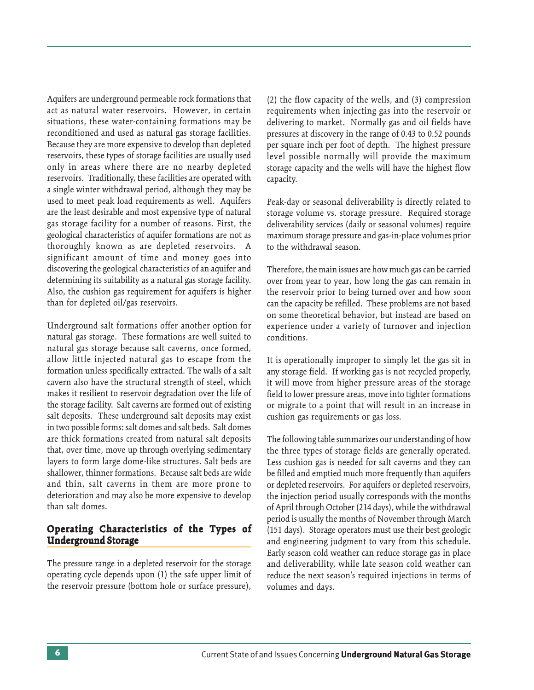Aquifers are underground permeable rock formations that act as natural water reservoirs. However, in certain situations, these water-containing formations may be reconditioned and used as natural gas storage facilities. Because they are more expensive to develop than depleted reservoirs, these types of storage facilities are usually used only in areas where there are no nearby depleted reservoirs. Traditionally, these facilities are operated with a single winter withdrawal period, although they may be used to meet peak load requirements as well. Aquifers are the least desirable and most expensive type of natural gas storage facility for a number of reasons. First, the geological characteristics of aquifer formations are not as thoroughly known as are depleted reservoirs. A significant amount of time and money goes into discovering the geological characteristics of an aquifer and determining its suitability as a natural gas storage facility. Also, the cushion gas requirement for aquifers is higher than for depleted oil/gas reservoirs.

Underground salt formations offer another option for natural gas storage. These formations are well suited to natural gas storage because salt caverns, once formed, allow little injected natural gas to escape from the formation unless specifically extracted. The walls of a salt cavern also have the structural strength of steel, which makes it resilient to reservoir degradation over the life of the storage facility. Salt caverns are formed out of existing salt deposits. These underground salt deposits may exist in two possible forms: salt domes and salt beds. Salt domes are thick formations created from natural salt deposits that, over time, move up through overlying sedimentary layers to form large dome-like structures. Salt beds are shallower, thinner formations. Because salt beds are wide and thin, salt caverns in them are more prone to deterioration and may also be more expensive to develop than salt domes.

## **Operating Characteristics of the Types of Underground Storage**

The pressure range in a depleted reservoir for the storage operating cycle depends upon (1) the safe upper limit of the reservoir pressure (bottom hole or surface pressure), (2) the flow capacity of the wells, and (3) compression requirements when injecting gas into the reservoir or delivering to market. Normally gas and oil fields have pressures at discovery in the range of 0.43 to 0.52 pounds per square inch per foot of depth. The highest pressure level possible normally will provide the maximum storage capacity and the wells will have the highest flow capacity.

Peak-day or seasonal deliverability is directly related to storage volume vs. storage pressure. Required storage deliverability services (daily or seasonal volumes) require maximum storage pressure and gas-in-place volumes prior to the withdrawal season.

Therefore, the main issues are how much gas can be carried over from year to year, how long the gas can remain in the reservoir prior to being turned over and how soon can the capacity be refilled. These problems are not based on some theoretical behavior, but instead are based on experience under a variety of turnover and injection conditions.

It is operationally improper to simply let the gas sit in any storage field. If working gas is not recycled properly, it will move from higher pressure areas of the storage field to lower pressure areas, move into tighter formations or migrate to a point that will result in an increase in cushion gas requirements or gas loss.

The following table summarizes our understanding of how the three types of storage fields are generally operated. Less cushion gas is needed for salt caverns and they can be filled and emptied much more frequently than aquifers or depleted reservoirs. For aquifers or depleted reservoirs, the injection period usually corresponds with the months of April through October (214 days), while the withdrawal period is usually the months of November through March (151 days). Storage operators must use their best geologic and engineering judgment to vary from this schedule. Early season cold weather can reduce storage gas in place and deliverability, while late season cold weather can reduce the next season's required injections in terms of volumes and days.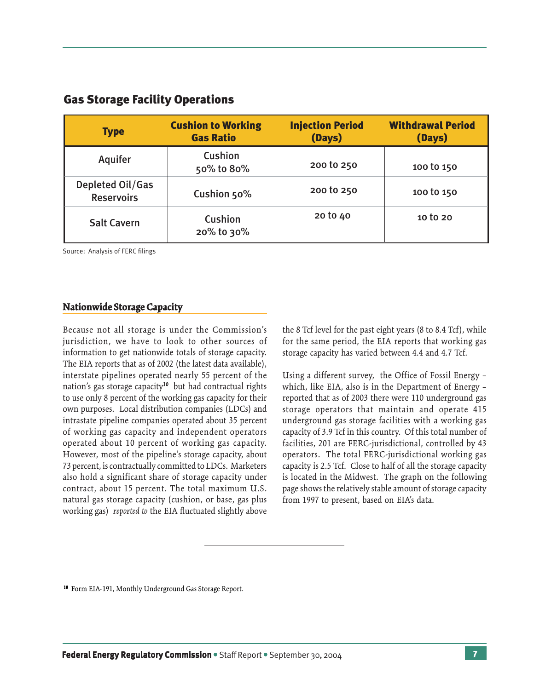| <b>Type</b>                           | <b>Cushion to Working</b><br><b>Gas Ratio</b> | <b>Injection Period</b><br>(Days) | <b>Withdrawal Period</b><br>(Days) |  |
|---------------------------------------|-----------------------------------------------|-----------------------------------|------------------------------------|--|
| <b>Aquifer</b>                        | Cushion<br>50% to 80%                         | 200 to 250                        | 100 to 150                         |  |
| Depleted Oil/Gas<br><b>Reservoirs</b> | Cushion 50%                                   | 200 to 250                        | 100 to 150                         |  |
| <b>Salt Cavern</b>                    | Cushion<br>20% to 30%                         | 20 to 40                          | 10 to 20                           |  |

## Gas Storage Facility Operations

Source: Analysis of FERC filings

#### **Nationwide Storage Capacity**

Because not all storage is under the Commission's jurisdiction, we have to look to other sources of information to get nationwide totals of storage capacity. The EIA reports that as of 2002 (the latest data available), interstate pipelines operated nearly 55 percent of the nation's gas storage capacity10 but had contractual rights to use only 8 percent of the working gas capacity for their own purposes. Local distribution companies (LDCs) and intrastate pipeline companies operated about 35 percent of working gas capacity and independent operators operated about 10 percent of working gas capacity. However, most of the pipeline's storage capacity, about 73 percent, is contractually committed to LDCs. Marketers also hold a significant share of storage capacity under contract, about 15 percent. The total maximum U.S. natural gas storage capacity (cushion, or base, gas plus working gas) *reported to* the EIA fluctuated slightly above

the 8 Tcf level for the past eight years (8 to 8.4 Tcf), while for the same period, the EIA reports that working gas storage capacity has varied between 4.4 and 4.7 Tcf.

Using a different survey, the Office of Fossil Energy – which, like EIA, also is in the Department of Energy – reported that as of 2003 there were 110 underground gas storage operators that maintain and operate 415 underground gas storage facilities with a working gas capacity of 3.9 Tcf in this country. Of this total number of facilities, 201 are FERC-jurisdictional, controlled by 43 operators. The total FERC-jurisdictional working gas capacity is 2.5 Tcf. Close to half of all the storage capacity is located in the Midwest. The graph on the following page shows the relatively stable amount of storage capacity from 1997 to present, based on EIA's data.

<sup>10</sup> Form EIA-191, Monthly Underground Gas Storage Report.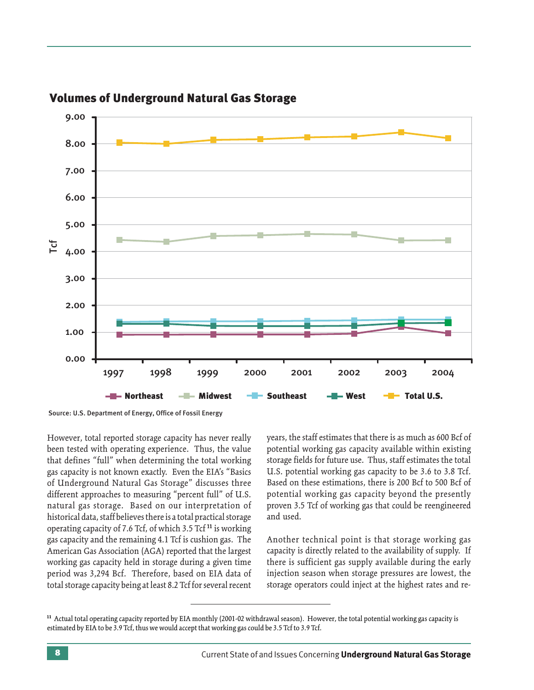

## Volumes of Underground Natural Gas Storage

However, total reported storage capacity has never really been tested with operating experience. Thus, the value that defines "full" when determining the total working gas capacity is not known exactly. Even the EIA's "Basics of Underground Natural Gas Storage" discusses three different approaches to measuring "percent full" of U.S. natural gas storage. Based on our interpretation of historical data, staff believes there is a total practical storage operating capacity of 7.6 Tcf, of which 3.5 Tcf 11 is working gas capacity and the remaining 4.1 Tcf is cushion gas. The American Gas Association (AGA) reported that the largest working gas capacity held in storage during a given time period was 3,294 Bcf. Therefore, based on EIA data of total storage capacity being at least 8.2 Tcf for several recent years, the staff estimates that there is as much as 600 Bcf of potential working gas capacity available within existing storage fields for future use. Thus, staff estimates the total U.S. potential working gas capacity to be 3.6 to 3.8 Tcf. Based on these estimations, there is 200 Bcf to 500 Bcf of potential working gas capacity beyond the presently proven 3.5 Tcf of working gas that could be reengineered and used.

Another technical point is that storage working gas capacity is directly related to the availability of supply. If there is sufficient gas supply available during the early injection season when storage pressures are lowest, the storage operators could inject at the highest rates and re-

<sup>11</sup> Actual total operating capacity reported by EIA monthly (2001-02 withdrawal season). However, the total potential working gas capacity is estimated by EIA to be 3.9 Tcf, thus we would accept that working gas could be 3.5 Tcf to 3.9 Tcf.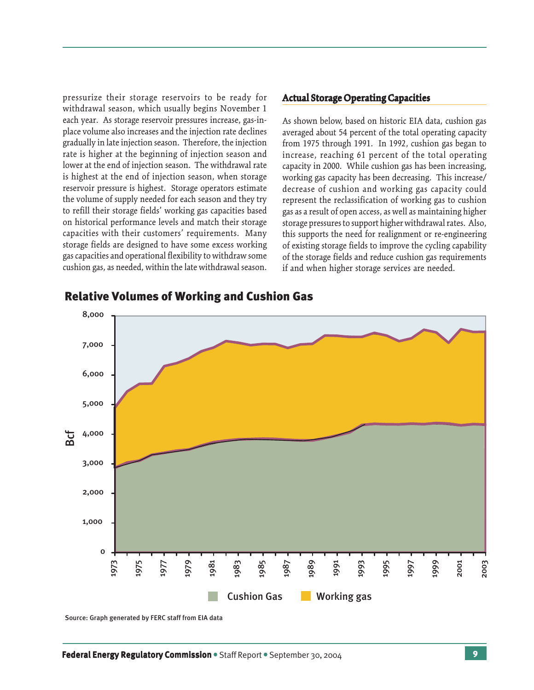pressurize their storage reservoirs to be ready for withdrawal season, which usually begins November 1 each year. As storage reservoir pressures increase, gas-inplace volume also increases and the injection rate declines gradually in late injection season. Therefore, the injection rate is higher at the beginning of injection season and lower at the end of injection season. The withdrawal rate is highest at the end of injection season, when storage reservoir pressure is highest. Storage operators estimate the volume of supply needed for each season and they try to refill their storage fields' working gas capacities based on historical performance levels and match their storage capacities with their customers' requirements. Many storage fields are designed to have some excess working gas capacities and operational flexibility to withdraw some cushion gas, as needed, within the late withdrawal season.

#### **Actual Storage Operating Capacities Storage Operating Capacities**

As shown below, based on historic EIA data, cushion gas averaged about 54 percent of the total operating capacity from 1975 through 1991. In 1992, cushion gas began to increase, reaching 61 percent of the total operating capacity in 2000. While cushion gas has been increasing, working gas capacity has been decreasing. This increase/ decrease of cushion and working gas capacity could represent the reclassification of working gas to cushion gas as a result of open access, as well as maintaining higher storage pressures to support higher withdrawal rates. Also, this supports the need for realignment or re-engineering of existing storage fields to improve the cycling capability of the storage fields and reduce cushion gas requirements if and when higher storage services are needed.



#### Relative Volumes of Working and Cushion Gas

Source: Graph generated by FERC staff from EIA data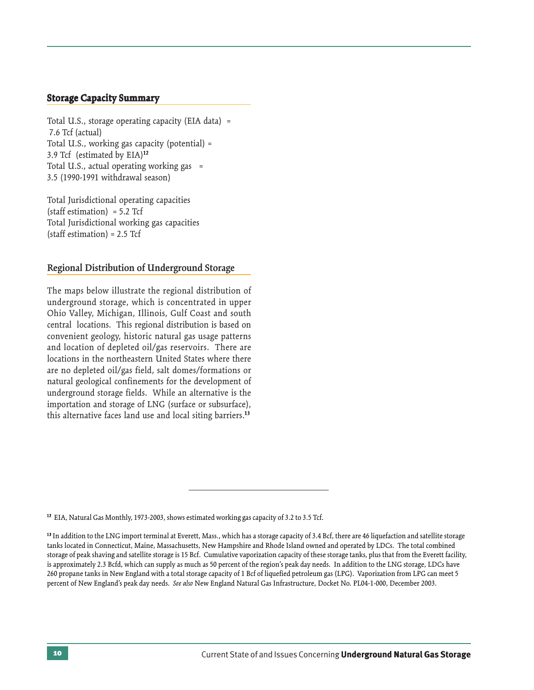#### **Storage Capacity Summary**

Total U.S., storage operating capacity (EIA data) = 7.6 Tcf (actual) Total U.S., working gas capacity (potential) = 3.9 Tcf (estimated by EIA)12 Total U.S., actual operating working gas = 3.5 (1990-1991 withdrawal season)

Total Jurisdictional operating capacities (staff estimation) =  $5.2$  Tcf Total Jurisdictional working gas capacities (staff estimation) = 2.5 Tcf

#### **Regional Distribution of Underground Storage**

The maps below illustrate the regional distribution of underground storage, which is concentrated in upper Ohio Valley, Michigan, Illinois, Gulf Coast and south central locations. This regional distribution is based on convenient geology, historic natural gas usage patterns and location of depleted oil/gas reservoirs. There are locations in the northeastern United States where there are no depleted oil/gas field, salt domes/formations or natural geological confinements for the development of underground storage fields. While an alternative is the importation and storage of LNG (surface or subsurface), this alternative faces land use and local siting barriers.<sup>13</sup>

<sup>&</sup>lt;sup>12</sup> EIA, Natural Gas Monthly, 1973-2003, shows estimated working gas capacity of 3.2 to 3.5 Tcf.

<sup>&</sup>lt;sup>13</sup> In addition to the LNG import terminal at Everett, Mass., which has a storage capacity of 3.4 Bcf, there are 46 liquefaction and satellite storage tanks located in Connecticut, Maine, Massachusetts, New Hampshire and Rhode Island owned and operated by LDCs. The total combined storage of peak shaving and satellite storage is 15 Bcf. Cumulative vaporization capacity of these storage tanks, plus that from the Everett facility, is approximately 2.3 Bcfd, which can supply as much as 50 percent of the region's peak day needs. In addition to the LNG storage, LDCs have 260 propane tanks in New England with a total storage capacity of 1 Bcf of liquefied petroleum gas (LPG). Vaporization from LPG can meet 5 percent of New England's peak day needs. *See also* New England Natural Gas Infrastructure, Docket No. PL04-1-000, December 2003.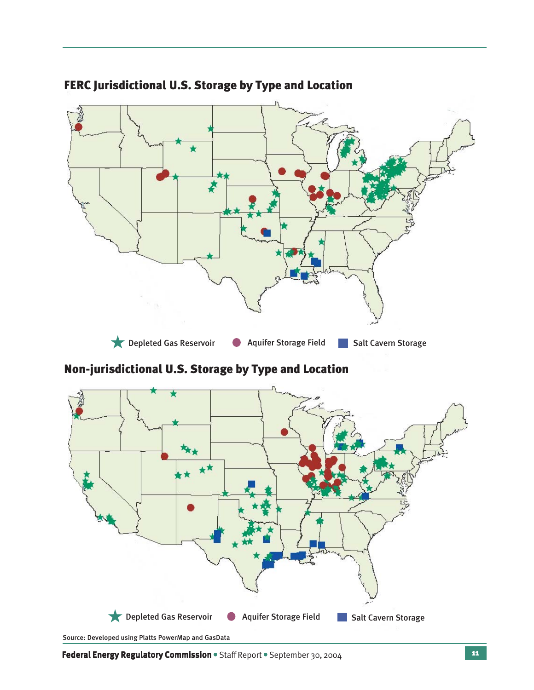

# FERC Jurisdictional U.S. Storage by Type and Location

## Non-jurisdictional U.S. Storage by Type and Location



Source: Developed using Platts PowerMap and GasData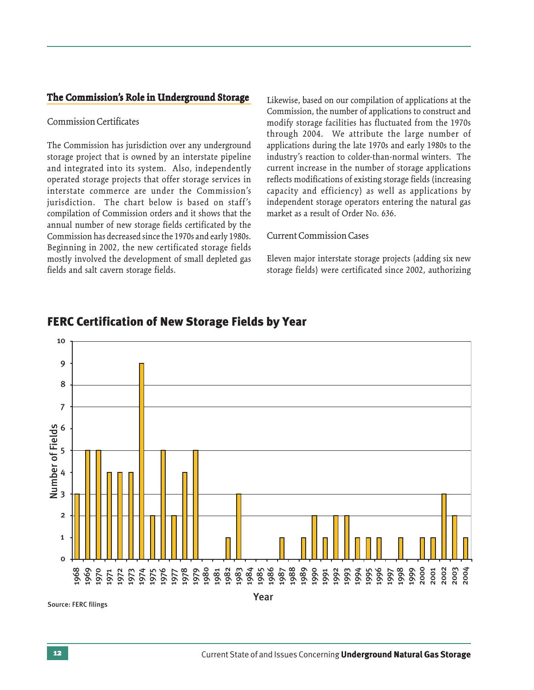#### **The Commission's Role in Underground Storage**

#### Commission Certificates

The Commission has jurisdiction over any underground storage project that is owned by an interstate pipeline and integrated into its system. Also, independently operated storage projects that offer storage services in interstate commerce are under the Commission's jurisdiction. The chart below is based on staff's compilation of Commission orders and it shows that the annual number of new storage fields certificated by the Commission has decreased since the 1970s and early 1980s. Beginning in 2002, the new certificated storage fields mostly involved the development of small depleted gas fields and salt cavern storage fields.

Likewise, based on our compilation of applications at the Commission, the number of applications to construct and modify storage facilities has fluctuated from the 1970s through 2004. We attribute the large number of applications during the late 1970s and early 1980s to the industry's reaction to colder-than-normal winters. The current increase in the number of storage applications reflects modifications of existing storage fields (increasing capacity and efficiency) as well as applications by independent storage operators entering the natural gas market as a result of Order No. 636.

## Current Commission Cases

Eleven major interstate storage projects (adding six new storage fields) were certificated since 2002, authorizing



## FERC Certification of New Storage Fields by Year

Source: FERC filings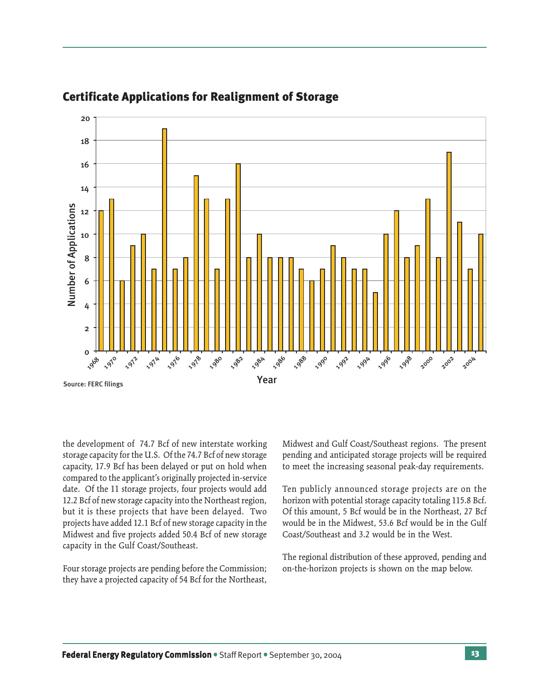

## Certificate Applications for Realignment of Storage

the development of 74.7 Bcf of new interstate working storage capacity for the U.S. Of the 74.7 Bcf of new storage capacity, 17.9 Bcf has been delayed or put on hold when compared to the applicant's originally projected in-service date. Of the 11 storage projects, four projects would add 12.2 Bcf of new storage capacity into the Northeast region, but it is these projects that have been delayed. Two projects have added 12.1 Bcf of new storage capacity in the Midwest and five projects added 50.4 Bcf of new storage capacity in the Gulf Coast/Southeast.

Four storage projects are pending before the Commission; they have a projected capacity of 54 Bcf for the Northeast,

Midwest and Gulf Coast/Southeast regions. The present pending and anticipated storage projects will be required to meet the increasing seasonal peak-day requirements.

Ten publicly announced storage projects are on the horizon with potential storage capacity totaling 115.8 Bcf. Of this amount, 5 Bcf would be in the Northeast, 27 Bcf would be in the Midwest, 53.6 Bcf would be in the Gulf Coast/Southeast and 3.2 would be in the West.

The regional distribution of these approved, pending and on-the-horizon projects is shown on the map below.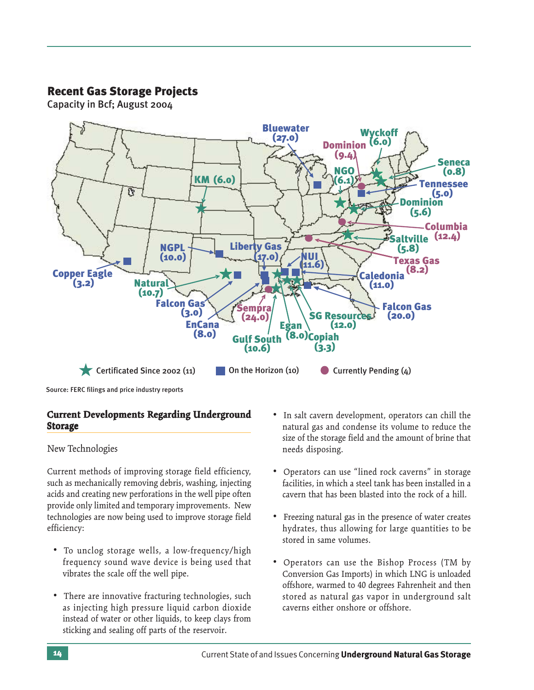## Recent Gas Storage Projects

Capacity in Bcf; August 2004



Source: FERC filings and price industry reports

## **Current Developments Regarding Underground Storage**

New Technologies

Current methods of improving storage field efficiency, such as mechanically removing debris, washing, injecting acids and creating new perforations in the well pipe often provide only limited and temporary improvements. New technologies are now being used to improve storage field efficiency:

- To unclog storage wells, a low-frequency/high frequency sound wave device is being used that vibrates the scale off the well pipe.
- There are innovative fracturing technologies, such as injecting high pressure liquid carbon dioxide instead of water or other liquids, to keep clays from sticking and sealing off parts of the reservoir.
- In salt cavern development, operators can chill the natural gas and condense its volume to reduce the size of the storage field and the amount of brine that needs disposing.
- Operators can use "lined rock caverns" in storage facilities, in which a steel tank has been installed in a cavern that has been blasted into the rock of a hill.
- Freezing natural gas in the presence of water creates hydrates, thus allowing for large quantities to be stored in same volumes.
- Operators can use the Bishop Process (TM by Conversion Gas Imports) in which LNG is unloaded offshore, warmed to 40 degrees Fahrenheit and then stored as natural gas vapor in underground salt caverns either onshore or offshore.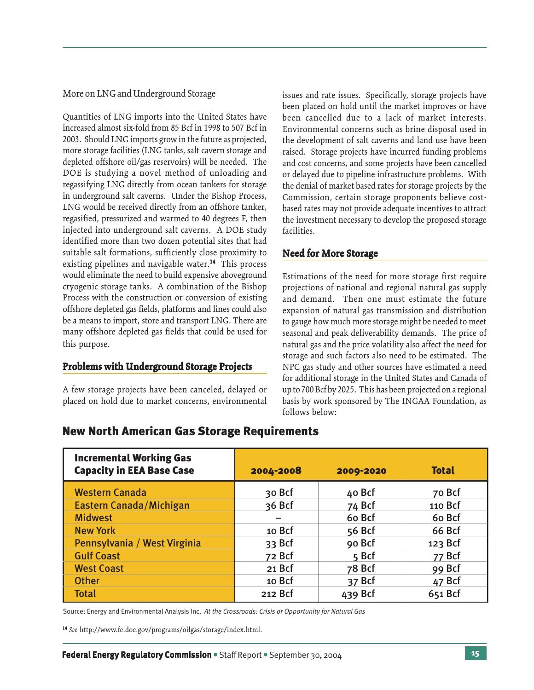More on LNG and Underground Storage

Quantities of LNG imports into the United States have increased almost six-fold from 85 Bcf in 1998 to 507 Bcf in 2003. Should LNG imports grow in the future as projected, more storage facilities (LNG tanks, salt cavern storage and depleted offshore oil/gas reservoirs) will be needed. The DOE is studying a novel method of unloading and regassifying LNG directly from ocean tankers for storage in underground salt caverns. Under the Bishop Process, LNG would be received directly from an offshore tanker, regasified, pressurized and warmed to 40 degrees F, then injected into underground salt caverns. A DOE study identified more than two dozen potential sites that had suitable salt formations, sufficiently close proximity to existing pipelines and navigable water.<sup>14</sup> This process would eliminate the need to build expensive aboveground cryogenic storage tanks. A combination of the Bishop Process with the construction or conversion of existing offshore depleted gas fields, platforms and lines could also be a means to import, store and transport LNG. There are many offshore depleted gas fields that could be used for this purpose.

## **Problems with Underground Storage Projects**

A few storage projects have been canceled, delayed or placed on hold due to market concerns, environmental

issues and rate issues. Specifically, storage projects have been placed on hold until the market improves or have been cancelled due to a lack of market interests. Environmental concerns such as brine disposal used in the development of salt caverns and land use have been raised. Storage projects have incurred funding problems and cost concerns, and some projects have been cancelled or delayed due to pipeline infrastructure problems. With the denial of market based rates for storage projects by the Commission, certain storage proponents believe costbased rates may not provide adequate incentives to attract the investment necessary to develop the proposed storage facilities.

## **Need for More Storage**

Estimations of the need for more storage first require projections of national and regional natural gas supply and demand. Then one must estimate the future expansion of natural gas transmission and distribution to gauge how much more storage might be needed to meet seasonal and peak deliverability demands. The price of natural gas and the price volatility also affect the need for storage and such factors also need to be estimated. The NPC gas study and other sources have estimated a need for additional storage in the United States and Canada of up to 700 Bcf by 2025. This has been projected on a regional basis by work sponsored by The INGAA Foundation, as follows below:

## New North American Gas Storage Requirements

| <b>Incremental Working Gas</b><br><b>Capacity in EEA Base Case</b> | 2004-2008 | 2009-2020 | <b>Total</b>  |
|--------------------------------------------------------------------|-----------|-----------|---------------|
| <b>Western Canada</b>                                              | 30 Bcf    | 40 Bcf    | 70 Bcf        |
| <b>Eastern Canada/Michigan</b>                                     | $36$ Bcf  | 74 Bcf    | 110 Bcf       |
| <b>Midwest</b>                                                     |           | 60 Bcf    | 60 Bcf        |
| <b>New York</b>                                                    | 10 Bcf    | 56 Bcf    | <b>66 Bcf</b> |
| Pennsylvania / West Virginia                                       | 33 Bcf    | 90 Bcf    | 123 Bcf       |
| <b>Gulf Coast</b>                                                  | 72 Bcf    | 5 Bcf     | 77 Bcf        |
| <b>West Coast</b>                                                  | 21 Bcf    | 78 Bcf    | 99 Bcf        |
| <b>Other</b>                                                       | 10 Bcf    | 37 Bcf    | 47 Bcf        |
| <b>Total</b>                                                       | 212 Bcf   | 439 Bcf   | 651 Bcf       |

Source: Energy and Environmental Analysis Inc, *At the Crossroads: Crisis or Opportunity for Natural Gas*

<sup>14</sup> *See* http://www.fe.doe.gov/programs/oilgas/storage/index.html.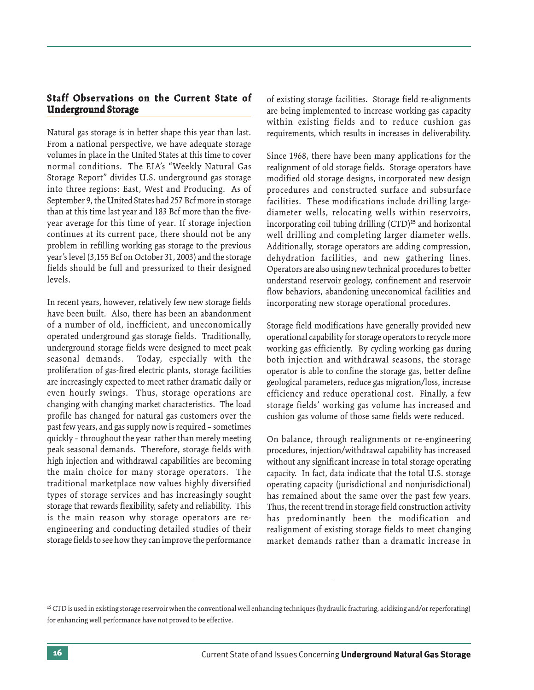## **Staff Observations on the Current State of Underground Storage**

Natural gas storage is in better shape this year than last. From a national perspective, we have adequate storage volumes in place in the United States at this time to cover normal conditions. The EIA's "Weekly Natural Gas Storage Report" divides U.S. underground gas storage into three regions: East, West and Producing. As of September 9, the United States had 257 Bcf more in storage than at this time last year and 183 Bcf more than the fiveyear average for this time of year. If storage injection continues at its current pace, there should not be any problem in refilling working gas storage to the previous year's level (3,155 Bcf on October 31, 2003) and the storage fields should be full and pressurized to their designed levels.

In recent years, however, relatively few new storage fields have been built. Also, there has been an abandonment of a number of old, inefficient, and uneconomically operated underground gas storage fields. Traditionally, underground storage fields were designed to meet peak seasonal demands. Today, especially with the proliferation of gas-fired electric plants, storage facilities are increasingly expected to meet rather dramatic daily or even hourly swings. Thus, storage operations are changing with changing market characteristics. The load profile has changed for natural gas customers over the past few years, and gas supply now is required – sometimes quickly – throughout the year rather than merely meeting peak seasonal demands. Therefore, storage fields with high injection and withdrawal capabilities are becoming the main choice for many storage operators. The traditional marketplace now values highly diversified types of storage services and has increasingly sought storage that rewards flexibility, safety and reliability. This is the main reason why storage operators are reengineering and conducting detailed studies of their storage fields to see how they can improve the performance of existing storage facilities. Storage field re-alignments are being implemented to increase working gas capacity within existing fields and to reduce cushion gas requirements, which results in increases in deliverability.

Since 1968, there have been many applications for the realignment of old storage fields. Storage operators have modified old storage designs, incorporated new design procedures and constructed surface and subsurface facilities. These modifications include drilling largediameter wells, relocating wells within reservoirs, incorporating coil tubing drilling (CTD)15 and horizontal well drilling and completing larger diameter wells. Additionally, storage operators are adding compression, dehydration facilities, and new gathering lines. Operators are also using new technical procedures to better understand reservoir geology, confinement and reservoir flow behaviors, abandoning uneconomical facilities and incorporating new storage operational procedures.

Storage field modifications have generally provided new operational capability for storage operators to recycle more working gas efficiently. By cycling working gas during both injection and withdrawal seasons, the storage operator is able to confine the storage gas, better define geological parameters, reduce gas migration/loss, increase efficiency and reduce operational cost. Finally, a few storage fields' working gas volume has increased and cushion gas volume of those same fields were reduced.

On balance, through realignments or re-engineering procedures, injection/withdrawal capability has increased without any significant increase in total storage operating capacity. In fact, data indicate that the total U.S. storage operating capacity (jurisdictional and nonjurisdictional) has remained about the same over the past few years. Thus, the recent trend in storage field construction activity has predominantly been the modification and realignment of existing storage fields to meet changing market demands rather than a dramatic increase in

<sup>&</sup>lt;sup>15</sup> CTD is used in existing storage reservoir when the conventional well enhancing techniques (hydraulic fracturing, acidizing and/or reperforating) for enhancing well performance have not proved to be effective.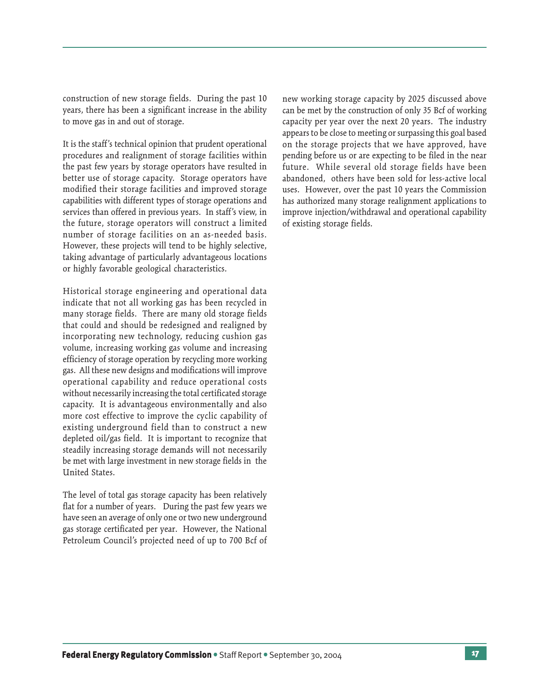construction of new storage fields. During the past 10 years, there has been a significant increase in the ability to move gas in and out of storage.

It is the staff's technical opinion that prudent operational procedures and realignment of storage facilities within the past few years by storage operators have resulted in better use of storage capacity. Storage operators have modified their storage facilities and improved storage capabilities with different types of storage operations and services than offered in previous years. In staff's view, in the future, storage operators will construct a limited number of storage facilities on an as-needed basis. However, these projects will tend to be highly selective, taking advantage of particularly advantageous locations or highly favorable geological characteristics.

Historical storage engineering and operational data indicate that not all working gas has been recycled in many storage fields. There are many old storage fields that could and should be redesigned and realigned by incorporating new technology, reducing cushion gas volume, increasing working gas volume and increasing efficiency of storage operation by recycling more working gas. All these new designs and modifications will improve operational capability and reduce operational costs without necessarily increasing the total certificated storage capacity. It is advantageous environmentally and also more cost effective to improve the cyclic capability of existing underground field than to construct a new depleted oil/gas field. It is important to recognize that steadily increasing storage demands will not necessarily be met with large investment in new storage fields in the United States.

The level of total gas storage capacity has been relatively flat for a number of years. During the past few years we have seen an average of only one or two new underground gas storage certificated per year. However, the National Petroleum Council's projected need of up to 700 Bcf of

new working storage capacity by 2025 discussed above can be met by the construction of only 35 Bcf of working capacity per year over the next 20 years. The industry appears to be close to meeting or surpassing this goal based on the storage projects that we have approved, have pending before us or are expecting to be filed in the near future. While several old storage fields have been abandoned, others have been sold for less-active local uses. However, over the past 10 years the Commission has authorized many storage realignment applications to improve injection/withdrawal and operational capability of existing storage fields.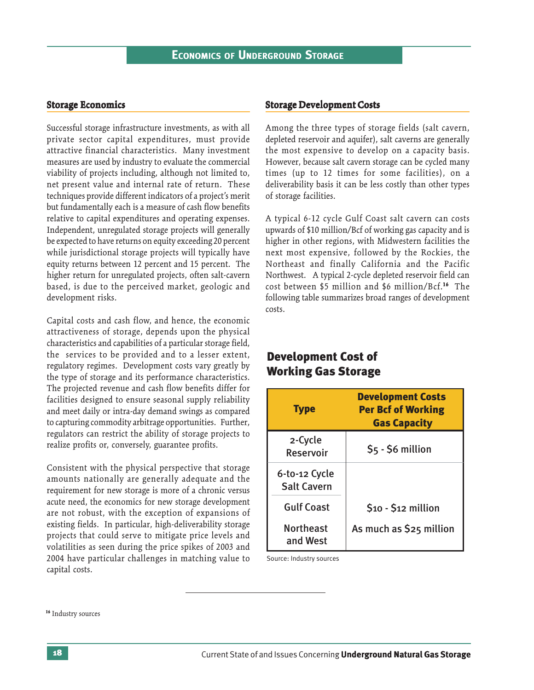#### **Storage Economics Storage Economics**

Successful storage infrastructure investments, as with all private sector capital expenditures, must provide attractive financial characteristics. Many investment measures are used by industry to evaluate the commercial viability of projects including, although not limited to, net present value and internal rate of return. These techniques provide different indicators of a project's merit but fundamentally each is a measure of cash flow benefits relative to capital expenditures and operating expenses. Independent, unregulated storage projects will generally be expected to have returns on equity exceeding 20 percent while jurisdictional storage projects will typically have equity returns between 12 percent and 15 percent. The higher return for unregulated projects, often salt-cavern based, is due to the perceived market, geologic and development risks.

Capital costs and cash flow, and hence, the economic attractiveness of storage, depends upon the physical characteristics and capabilities of a particular storage field, the services to be provided and to a lesser extent, regulatory regimes. Development costs vary greatly by the type of storage and its performance characteristics. The projected revenue and cash flow benefits differ for facilities designed to ensure seasonal supply reliability and meet daily or intra-day demand swings as compared to capturing commodity arbitrage opportunities. Further, regulators can restrict the ability of storage projects to realize profits or, conversely, guarantee profits.

Consistent with the physical perspective that storage amounts nationally are generally adequate and the requirement for new storage is more of a chronic versus acute need, the economics for new storage development are not robust, with the exception of expansions of existing fields. In particular, high-deliverability storage projects that could serve to mitigate price levels and volatilities as seen during the price spikes of 2003 and 2004 have particular challenges in matching value to capital costs.

#### **Storage Development Costs Storage Development**

Among the three types of storage fields (salt cavern, depleted reservoir and aquifer), salt caverns are generally the most expensive to develop on a capacity basis. However, because salt cavern storage can be cycled many times (up to 12 times for some facilities), on a deliverability basis it can be less costly than other types of storage facilities.

A typical 6-12 cycle Gulf Coast salt cavern can costs upwards of \$10 million/Bcf of working gas capacity and is higher in other regions, with Midwestern facilities the next most expensive, followed by the Rockies, the Northeast and finally California and the Pacific Northwest. A typical 2-cycle depleted reservoir field can cost between \$5 million and \$6 million/Bcf.<sup>16</sup> The following table summarizes broad ranges of development costs.

## Development Cost of Working Gas Storage

| <b>Type</b>                         | <b>Development Costs</b><br><b>Per Bcf of Working</b><br><b>Gas Capacity</b> |
|-------------------------------------|------------------------------------------------------------------------------|
| 2-Cycle<br><b>Reservoir</b>         | $$5 - $6$ million                                                            |
| 6-to-12 Cycle<br><b>Salt Cavern</b> |                                                                              |
| <b>Gulf Coast</b>                   | $$10 - $12$ million                                                          |
| Northeast<br>and West               | As much as \$25 million                                                      |

Source: Industry sources

<sup>16</sup> Industry sources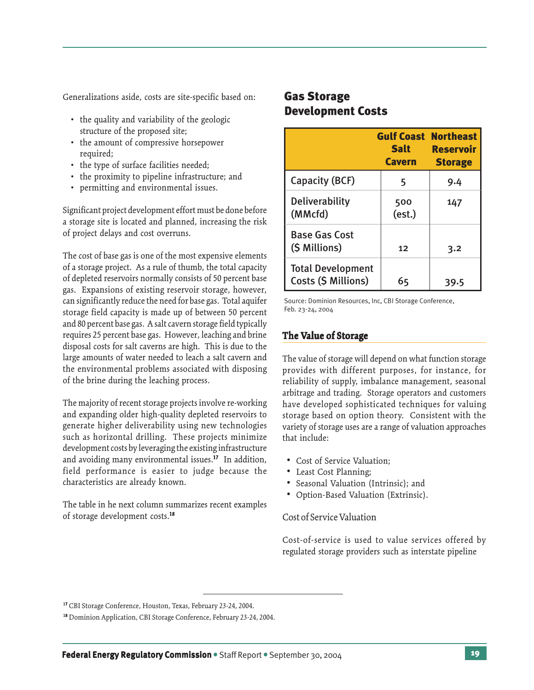Generalizations aside, costs are site-specific based on:

- the quality and variability of the geologic structure of the proposed site;
- the amount of compressive horsepower required;
- the type of surface facilities needed;
- the proximity to pipeline infrastructure; and
- permitting and environmental issues.

Significant project development effort must be done before a storage site is located and planned, increasing the risk of project delays and cost overruns.

The cost of base gas is one of the most expensive elements of a storage project. As a rule of thumb, the total capacity of depleted reservoirs normally consists of 50 percent base gas. Expansions of existing reservoir storage, however, can significantly reduce the need for base gas. Total aquifer storage field capacity is made up of between 50 percent and 80 percent base gas. A salt cavern storage field typically requires 25 percent base gas. However, leaching and brine disposal costs for salt caverns are high. This is due to the large amounts of water needed to leach a salt cavern and the environmental problems associated with disposing of the brine during the leaching process.

The majority of recent storage projects involve re-working and expanding older high-quality depleted reservoirs to generate higher deliverability using new technologies such as horizontal drilling. These projects minimize development costs by leveraging the existing infrastructure and avoiding many environmental issues.17 In addition, field performance is easier to judge because the characteristics are already known.

The table in he next column summarizes recent examples of storage development costs.18

## Gas Storage Development Costs

|                                                 | <b>Gulf Coast Northeast</b><br><b>Salt</b><br><b>Cavern</b> | <b>Reservoir</b><br><b>Storage</b> |
|-------------------------------------------------|-------------------------------------------------------------|------------------------------------|
| Capacity (BCF)                                  | 5                                                           | 9.4                                |
| <b>Deliverability</b><br>(MMcfd)                | 500<br>(est.)                                               | 147                                |
| <b>Base Gas Cost</b><br>(\$ Millions)           | 12                                                          | 3.2                                |
| <b>Total Development</b><br>Costs (\$ Millions) | 65                                                          | 39.5                               |

Source: Dominion Resources, Inc, CBI Storage Conference, Feb. 23-24, 2004

## **The Value of Storage**

The value of storage will depend on what function storage provides with different purposes, for instance, for reliability of supply, imbalance management, seasonal arbitrage and trading. Storage operators and customers have developed sophisticated techniques for valuing storage based on option theory. Consistent with the variety of storage uses are a range of valuation approaches that include:

- Cost of Service Valuation;
- Least Cost Planning;
- Seasonal Valuation (Intrinsic); and
- Option-Based Valuation (Extrinsic).

#### Cost of Service Valuation

Cost-of-service is used to value services offered by regulated storage providers such as interstate pipeline

<sup>17</sup> CBI Storage Conference, Houston, Texas, February 23-24, 2004.

<sup>18</sup> Dominion Application, CBI Storage Conference, February 23-24, 2004.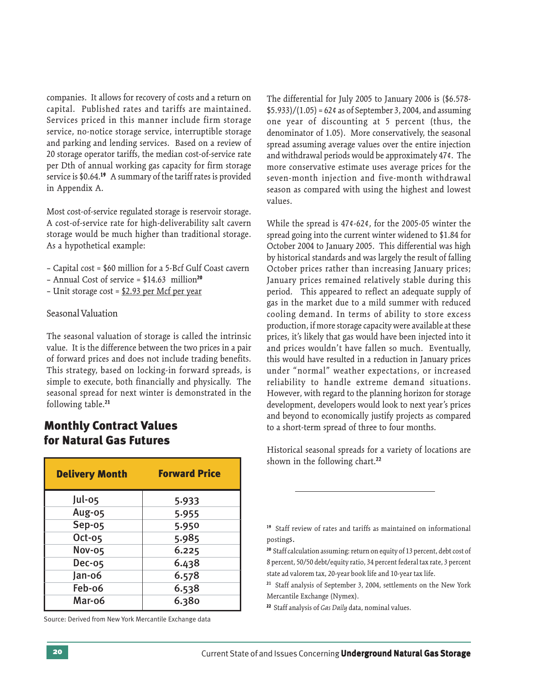companies. It allows for recovery of costs and a return on capital. Published rates and tariffs are maintained. Services priced in this manner include firm storage service, no-notice storage service, interruptible storage and parking and lending services. Based on a review of 20 storage operator tariffs, the median cost-of-service rate per Dth of annual working gas capacity for firm storage service is \$0.64.<sup>19</sup> A summary of the tariff rates is provided in Appendix A.

Most cost-of-service regulated storage is reservoir storage. A cost-of-service rate for high-deliverability salt cavern storage would be much higher than traditional storage. As a hypothetical example:

- Capital cost = \$60 million for a 5-Bcf Gulf Coast cavern
- Annual Cost of service = \$14.63 million20
- Unit storage cost = \$2.93 per Mcf per year

#### Seasonal Valuation

The seasonal valuation of storage is called the intrinsic value. It is the difference between the two prices in a pair of forward prices and does not include trading benefits. This strategy, based on locking-in forward spreads, is simple to execute, both financially and physically. The seasonal spread for next winter is demonstrated in the following table.21

## Monthly Contract Values for Natural Gas Futures

| <b>Delivery Month</b> | <b>Forward Price</b> |
|-----------------------|----------------------|
| Jul-05                | 5.933                |
| Aug-05                | 5.955                |
| Sep-o5                | 5.950                |
| $Oct-05$              | 5.985                |
| Nov-05                | 6.225                |
| <b>Dec-05</b>         | 6.438                |
| Jan-o6                | 6.578                |
| Feb-o6                | 6.538                |
| Mar-o6                | 6.380                |

Source: Derived from New York Mercantile Exchange data

The differential for July 2005 to January 2006 is (\$6.578-  $$5.933)/(1.05) = 62$  ¢ as of September 3, 2004, and assuming one year of discounting at 5 percent (thus, the denominator of 1.05). More conservatively, the seasonal spread assuming average values over the entire injection and withdrawal periods would be approximately 47¢. The more conservative estimate uses average prices for the seven-month injection and five-month withdrawal season as compared with using the highest and lowest values.

While the spread is 47¢-62¢, for the 2005-05 winter the spread going into the current winter widened to \$1.84 for October 2004 to January 2005. This differential was high by historical standards and was largely the result of falling October prices rather than increasing January prices; January prices remained relatively stable during this period. This appeared to reflect an adequate supply of gas in the market due to a mild summer with reduced cooling demand. In terms of ability to store excess production, if more storage capacity were available at these prices, it's likely that gas would have been injected into it and prices wouldn't have fallen so much. Eventually, this would have resulted in a reduction in January prices under "normal" weather expectations, or increased reliability to handle extreme demand situations. However, with regard to the planning horizon for storage development, developers would look to next year's prices and beyond to economically justify projects as compared to a short-term spread of three to four months.

Historical seasonal spreads for a variety of locations are shown in the following chart.<sup>22</sup>

22 Staff analysis of *Gas Daily* data, nominal values.

<sup>19</sup> Staff review of rates and tariffs as maintained on informational postings.

<sup>20</sup> Staff calculation assuming: return on equity of 13 percent, debt cost of 8 percent, 50/50 debt/equity ratio, 34 percent federal tax rate, 3 percent state ad valorem tax, 20-year book life and 10-year tax life.

<sup>21</sup> Staff analysis of September 3, 2004, settlements on the New York Mercantile Exchange (Nymex).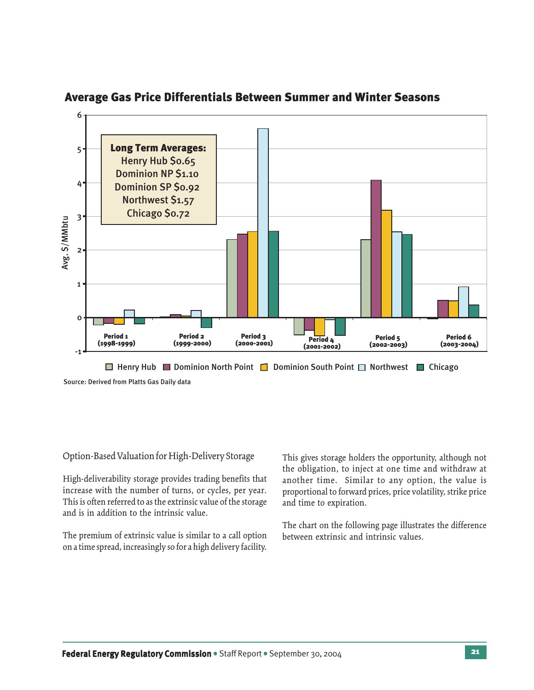

## Average Gas Price Differentials Between Summer and Winter Seasons

## Option-Based Valuation for High-Delivery Storage

High-deliverability storage provides trading benefits that increase with the number of turns, or cycles, per year. This is often referred to as the extrinsic value of the storage and is in addition to the intrinsic value.

The premium of extrinsic value is similar to a call option on a time spread, increasingly so for a high delivery facility.

This gives storage holders the opportunity, although not the obligation, to inject at one time and withdraw at another time. Similar to any option, the value is proportional to forward prices, price volatility, strike price and time to expiration.

The chart on the following page illustrates the difference between extrinsic and intrinsic values.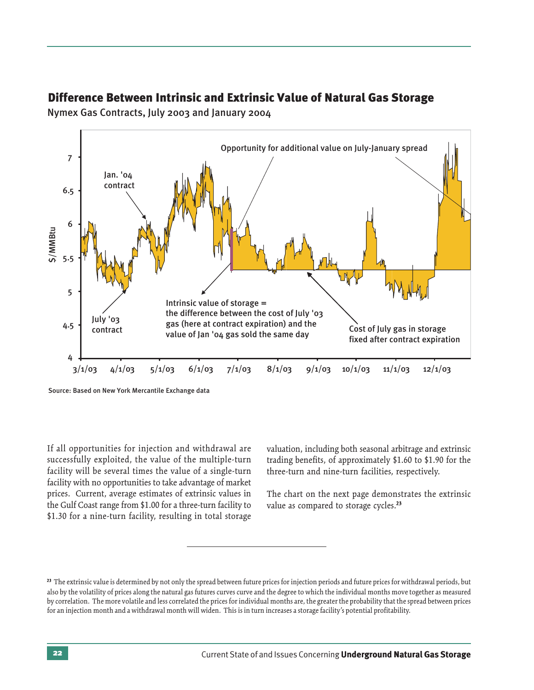

## Difference Between Intrinsic and Extrinsic Value of Natural Gas Storage

Nymex Gas Contracts, July 2003 and January 2004

If all opportunities for injection and withdrawal are successfully exploited, the value of the multiple-turn facility will be several times the value of a single-turn facility with no opportunities to take advantage of market prices. Current, average estimates of extrinsic values in the Gulf Coast range from \$1.00 for a three-turn facility to \$1.30 for a nine-turn facility, resulting in total storage valuation, including both seasonal arbitrage and extrinsic trading benefits, of approximately \$1.60 to \$1.90 for the three-turn and nine-turn facilities, respectively.

The chart on the next page demonstrates the extrinsic value as compared to storage cycles.<sup>23</sup>

<sup>&</sup>lt;sup>23</sup> The extrinsic value is determined by not only the spread between future prices for injection periods and future prices for withdrawal periods, but also by the volatility of prices along the natural gas futures curves curve and the degree to which the individual months move together as measured by correlation. The more volatile and less correlated the prices for individual months are, the greater the probability that the spread between prices for an injection month and a withdrawal month will widen. This is in turn increases a storage facility's potential profitability.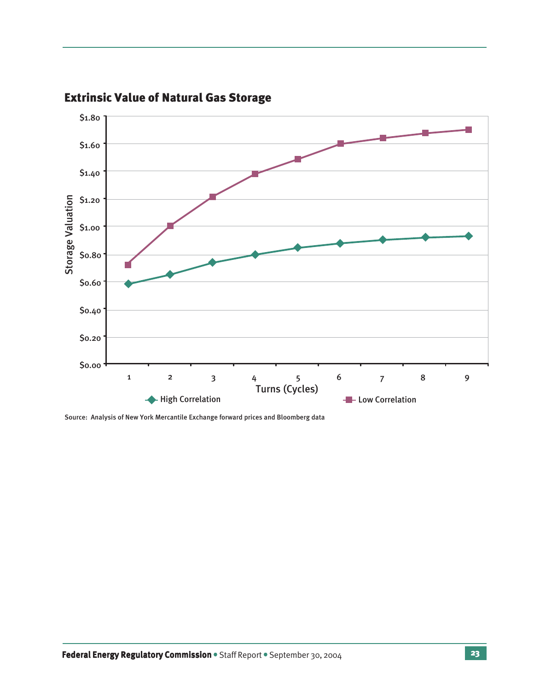

# Extrinsic Value of Natural Gas Storage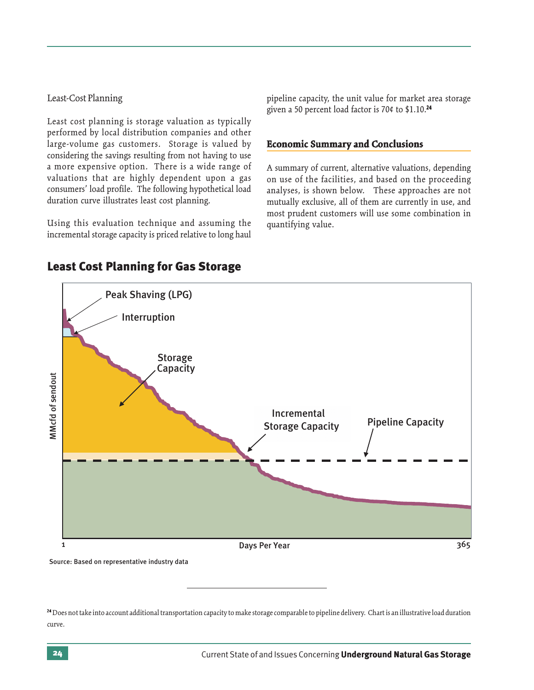## Least-Cost Planning

Least cost planning is storage valuation as typically performed by local distribution companies and other large-volume gas customers. Storage is valued by considering the savings resulting from not having to use a more expensive option. There is a wide range of valuations that are highly dependent upon a gas consumers' load profile. The following hypothetical load duration curve illustrates least cost planning.

Using this evaluation technique and assuming the incremental storage capacity is priced relative to long haul

pipeline capacity, the unit value for market area storage given a 50 percent load factor is 70¢ to \$1.10.24

## **Economic Summary and Conclusions**

A summary of current, alternative valuations, depending on use of the facilities, and based on the proceeding analyses, is shown below. These approaches are not mutually exclusive, all of them are currently in use, and most prudent customers will use some combination in quantifying value.



## Least Cost Planning for Gas Storage

24 Does not take into account additional transportation capacity to make storage comparable to pipeline delivery. Chart is an illustrative load duration curve.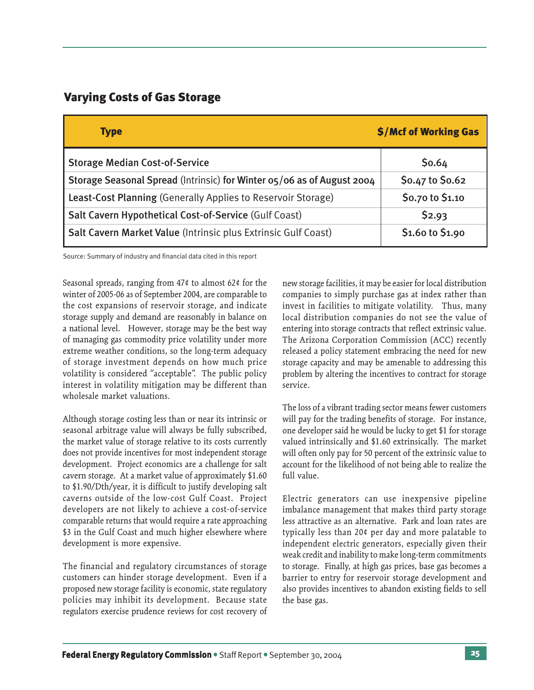## Varying Costs of Gas Storage

| <b>Type</b>                                                            | \$/Mcf of Working Gas |
|------------------------------------------------------------------------|-----------------------|
| <b>Storage Median Cost-of-Service</b>                                  | \$0.64                |
| Storage Seasonal Spread (Intrinsic) for Winter 05/06 as of August 2004 | \$0.47 to \$0.62      |
| Least-Cost Planning (Generally Applies to Reservoir Storage)           | \$0.70 to \$1.10      |
| Salt Cavern Hypothetical Cost-of-Service (Gulf Coast)                  | \$2.93                |
| Salt Cavern Market Value (Intrinsic plus Extrinsic Gulf Coast)         | \$1.60 to \$1.90      |

Source: Summary of industry and financial data cited in this report

Seasonal spreads, ranging from 47¢ to almost 62¢ for the winter of 2005-06 as of September 2004, are comparable to the cost expansions of reservoir storage, and indicate storage supply and demand are reasonably in balance on a national level. However, storage may be the best way of managing gas commodity price volatility under more extreme weather conditions, so the long-term adequacy of storage investment depends on how much price volatility is considered "acceptable". The public policy interest in volatility mitigation may be different than wholesale market valuations.

Although storage costing less than or near its intrinsic or seasonal arbitrage value will always be fully subscribed, the market value of storage relative to its costs currently does not provide incentives for most independent storage development. Project economics are a challenge for salt cavern storage. At a market value of approximately \$1.60 to \$1.90/Dth/year, it is difficult to justify developing salt caverns outside of the low-cost Gulf Coast. Project developers are not likely to achieve a cost-of-service comparable returns that would require a rate approaching \$3 in the Gulf Coast and much higher elsewhere where development is more expensive.

The financial and regulatory circumstances of storage customers can hinder storage development. Even if a proposed new storage facility is economic, state regulatory policies may inhibit its development. Because state regulators exercise prudence reviews for cost recovery of

new storage facilities, it may be easier for local distribution companies to simply purchase gas at index rather than invest in facilities to mitigate volatility. Thus, many local distribution companies do not see the value of entering into storage contracts that reflect extrinsic value. The Arizona Corporation Commission (ACC) recently released a policy statement embracing the need for new storage capacity and may be amenable to addressing this problem by altering the incentives to contract for storage service.

The loss of a vibrant trading sector means fewer customers will pay for the trading benefits of storage. For instance, one developer said he would be lucky to get \$1 for storage valued intrinsically and \$1.60 extrinsically. The market will often only pay for 50 percent of the extrinsic value to account for the likelihood of not being able to realize the full value.

Electric generators can use inexpensive pipeline imbalance management that makes third party storage less attractive as an alternative. Park and loan rates are typically less than 20¢ per day and more palatable to independent electric generators, especially given their weak credit and inability to make long-term commitments to storage. Finally, at high gas prices, base gas becomes a barrier to entry for reservoir storage development and also provides incentives to abandon existing fields to sell the base gas.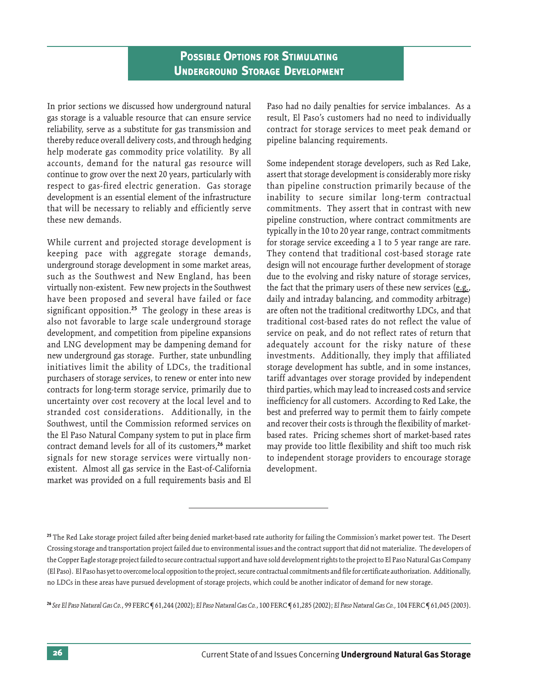In prior sections we discussed how underground natural gas storage is a valuable resource that can ensure service reliability, serve as a substitute for gas transmission and thereby reduce overall delivery costs, and through hedging help moderate gas commodity price volatility. By all accounts, demand for the natural gas resource will continue to grow over the next 20 years, particularly with respect to gas-fired electric generation. Gas storage development is an essential element of the infrastructure that will be necessary to reliably and efficiently serve these new demands.

While current and projected storage development is keeping pace with aggregate storage demands, underground storage development in some market areas, such as the Southwest and New England, has been virtually non-existent. Few new projects in the Southwest have been proposed and several have failed or face significant opposition.25 The geology in these areas is also not favorable to large scale underground storage development, and competition from pipeline expansions and LNG development may be dampening demand for new underground gas storage. Further, state unbundling initiatives limit the ability of LDCs, the traditional purchasers of storage services, to renew or enter into new contracts for long-term storage service, primarily due to uncertainty over cost recovery at the local level and to stranded cost considerations. Additionally, in the Southwest, until the Commission reformed services on the El Paso Natural Company system to put in place firm contract demand levels for all of its customers,<sup>26</sup> market signals for new storage services were virtually nonexistent. Almost all gas service in the East-of-California market was provided on a full requirements basis and El Paso had no daily penalties for service imbalances. As a result, El Paso's customers had no need to individually contract for storage services to meet peak demand or pipeline balancing requirements.

Some independent storage developers, such as Red Lake, assert that storage development is considerably more risky than pipeline construction primarily because of the inability to secure similar long-term contractual commitments. They assert that in contrast with new pipeline construction, where contract commitments are typically in the 10 to 20 year range, contract commitments for storage service exceeding a 1 to 5 year range are rare. They contend that traditional cost-based storage rate design will not encourage further development of storage due to the evolving and risky nature of storage services, the fact that the primary users of these new services  $(e.g.,)$ daily and intraday balancing, and commodity arbitrage) are often not the traditional creditworthy LDCs, and that traditional cost-based rates do not reflect the value of service on peak, and do not reflect rates of return that adequately account for the risky nature of these investments. Additionally, they imply that affiliated storage development has subtle, and in some instances, tariff advantages over storage provided by independent third parties, which may lead to increased costs and service inefficiency for all customers. According to Red Lake, the best and preferred way to permit them to fairly compete and recover their costs is through the flexibility of marketbased rates. Pricing schemes short of market-based rates may provide too little flexibility and shift too much risk to independent storage providers to encourage storage development.

<sup>&</sup>lt;sup>25</sup> The Red Lake storage project failed after being denied market-based rate authority for failing the Commission's market power test. The Desert Crossing storage and transportation project failed due to environmental issues and the contract support that did not materialize. The developers of the Copper Eagle storage project failed to secure contractual support and have sold development rights to the project to El Paso Natural Gas Company (El Paso). El Paso has yet to overcome local opposition to the project, secure contractual commitments and file for certificate authorization. Additionally, no LDCs in these areas have pursued development of storage projects, which could be another indicator of demand for new storage.

<sup>26</sup> *See El Paso Natural Gas Co.*, 99 FERC ¶ 61,244 (2002); *El Paso Natural Gas Co.*, 100 FERC ¶ 61,285 (2002); *El Paso Natural Gas Co.,* 104 FERC ¶ 61,045 (2003).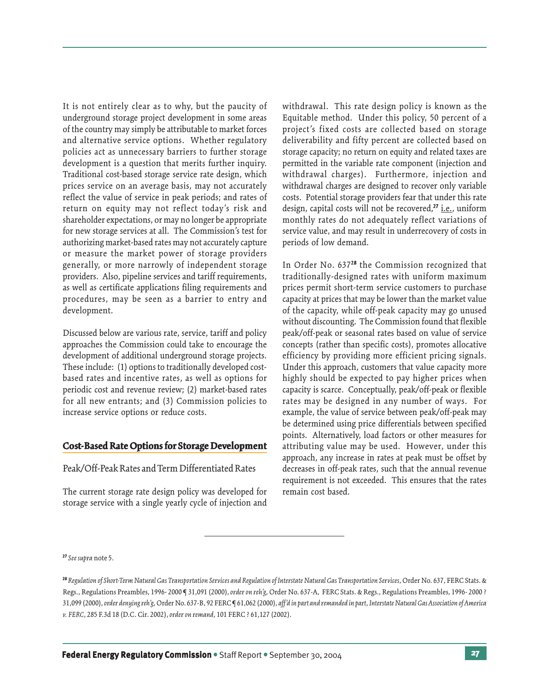It is not entirely clear as to why, but the paucity of underground storage project development in some areas of the country may simply be attributable to market forces and alternative service options. Whether regulatory policies act as unnecessary barriers to further storage development is a question that merits further inquiry. Traditional cost-based storage service rate design, which prices service on an average basis, may not accurately reflect the value of service in peak periods; and rates of return on equity may not reflect today's risk and shareholder expectations, or may no longer be appropriate for new storage services at all. The Commission's test for authorizing market-based rates may not accurately capture or measure the market power of storage providers generally, or more narrowly of independent storage providers. Also, pipeline services and tariff requirements, as well as certificate applications filing requirements and procedures, may be seen as a barrier to entry and development.

Discussed below are various rate, service, tariff and policy approaches the Commission could take to encourage the development of additional underground storage projects. These include: (1) options to traditionally developed costbased rates and incentive rates, as well as options for periodic cost and revenue review; (2) market-based rates for all new entrants; and (3) Commission policies to increase service options or reduce costs.

## **Cost-Based Rate Options for Storage Development elopment**

Peak/Off-Peak Rates and Term Differentiated Rates

The current storage rate design policy was developed for storage service with a single yearly cycle of injection and

withdrawal. This rate design policy is known as the Equitable method. Under this policy, 50 percent of a project's fixed costs are collected based on storage deliverability and fifty percent are collected based on storage capacity; no return on equity and related taxes are permitted in the variable rate component (injection and withdrawal charges). Furthermore, injection and withdrawal charges are designed to recover only variable costs. Potential storage providers fear that under this rate design, capital costs will not be recovered,<sup>27</sup> i.e., uniform monthly rates do not adequately reflect variations of service value, and may result in underrecovery of costs in periods of low demand.

In Order No. 63728 the Commission recognized that traditionally-designed rates with uniform maximum prices permit short-term service customers to purchase capacity at prices that may be lower than the market value of the capacity, while off-peak capacity may go unused without discounting. The Commission found that flexible peak/off-peak or seasonal rates based on value of service concepts (rather than specific costs), promotes allocative efficiency by providing more efficient pricing signals. Under this approach, customers that value capacity more highly should be expected to pay higher prices when capacity is scarce. Conceptually, peak/off-peak or flexible rates may be designed in any number of ways. For example, the value of service between peak/off-peak may be determined using price differentials between specified points. Alternatively, load factors or other measures for attributing value may be used. However, under this approach, any increase in rates at peak must be offset by decreases in off-peak rates, such that the annual revenue requirement is not exceeded. This ensures that the rates remain cost based.

<sup>27</sup> *Seesupra* note 5.

<sup>28</sup> *Regulation of Short-Term Natural Gas Transportation Services and Regulation of Interstate Natural Gas Transportation Services*, Order No. 637, FERC Stats. & Regs., Regulations Preambles, 1996- 2000 ¶ 31,091 (2000), *order on reh'g*, Order No. 637-A, FERC Stats. & Regs., Regulations Preambles, 1996- 2000 ? 31,099 (2000), *order denying reh'g*, Order No. 637-B, 92 FERC ¶ 61,062 (2000), *aff 'd in part and remanded in part*, *Interstate Natural Gas Association of America v. FERC*, 285 F.3d 18 (D.C. Cir. 2002), *order on remand*, 101 FERC ? 61,127 (2002).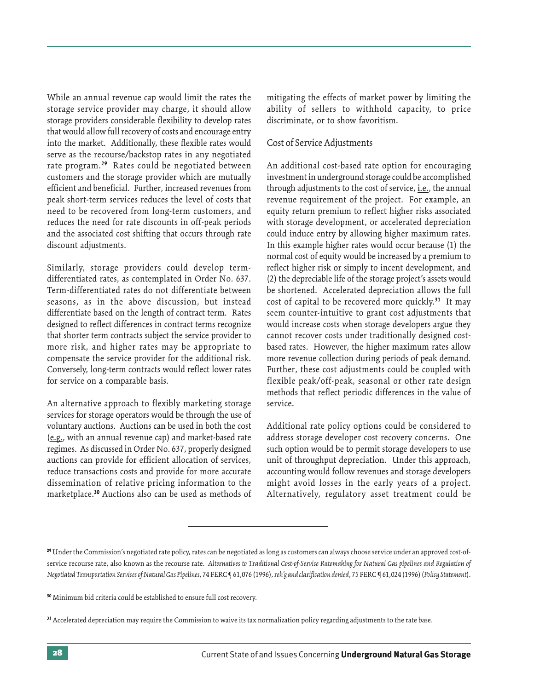While an annual revenue cap would limit the rates the storage service provider may charge, it should allow storage providers considerable flexibility to develop rates that would allow full recovery of costs and encourage entry into the market. Additionally, these flexible rates would serve as the recourse/backstop rates in any negotiated rate program.<sup>29</sup> Rates could be negotiated between customers and the storage provider which are mutually efficient and beneficial. Further, increased revenues from peak short-term services reduces the level of costs that need to be recovered from long-term customers, and reduces the need for rate discounts in off-peak periods and the associated cost shifting that occurs through rate discount adjustments.

Similarly, storage providers could develop termdifferentiated rates, as contemplated in Order No. 637. Term-differentiated rates do not differentiate between seasons, as in the above discussion, but instead differentiate based on the length of contract term. Rates designed to reflect differences in contract terms recognize that shorter term contracts subject the service provider to more risk, and higher rates may be appropriate to compensate the service provider for the additional risk. Conversely, long-term contracts would reflect lower rates for service on a comparable basis.

An alternative approach to flexibly marketing storage services for storage operators would be through the use of voluntary auctions. Auctions can be used in both the cost (e.g., with an annual revenue cap) and market-based rate regimes. As discussed in Order No. 637, properly designed auctions can provide for efficient allocation of services, reduce transactions costs and provide for more accurate dissemination of relative pricing information to the marketplace.30 Auctions also can be used as methods of mitigating the effects of market power by limiting the ability of sellers to withhold capacity, to price discriminate, or to show favoritism.

## Cost of Service Adjustments

An additional cost-based rate option for encouraging investment in underground storage could be accomplished through adjustments to the cost of service, i.e., the annual revenue requirement of the project. For example, an equity return premium to reflect higher risks associated with storage development, or accelerated depreciation could induce entry by allowing higher maximum rates. In this example higher rates would occur because (1) the normal cost of equity would be increased by a premium to reflect higher risk or simply to incent development, and (2) the depreciable life of the storage project's assets would be shortened. Accelerated depreciation allows the full cost of capital to be recovered more quickly.<sup>31</sup> It may seem counter-intuitive to grant cost adjustments that would increase costs when storage developers argue they cannot recover costs under traditionally designed costbased rates. However, the higher maximum rates allow more revenue collection during periods of peak demand. Further, these cost adjustments could be coupled with flexible peak/off-peak, seasonal or other rate design methods that reflect periodic differences in the value of service.

Additional rate policy options could be considered to address storage developer cost recovery concerns. One such option would be to permit storage developers to use unit of throughput depreciation. Under this approach, accounting would follow revenues and storage developers might avoid losses in the early years of a project. Alternatively, regulatory asset treatment could be

<sup>29</sup> Under the Commission's negotiated rate policy, rates can be negotiated as long as customers can always choose service under an approved cost-ofservice recourse rate, also known as the recourse rate. *Alternatives to Traditional Cost-of-Service Ratemaking for Natural Gas pipelines and Regulation of Negotiated Transportation Services of Natural Gas Pipelines*, 74 FERC ¶ 61,076 (1996), *reh'g and clarification denied*, 75 FERC ¶ 61,024 (1996) (*Policy Statement*).

<sup>&</sup>lt;sup>30</sup> Minimum bid criteria could be established to ensure full cost recovery.

<sup>&</sup>lt;sup>31</sup> Accelerated depreciation may require the Commission to waive its tax normalization policy regarding adjustments to the rate base.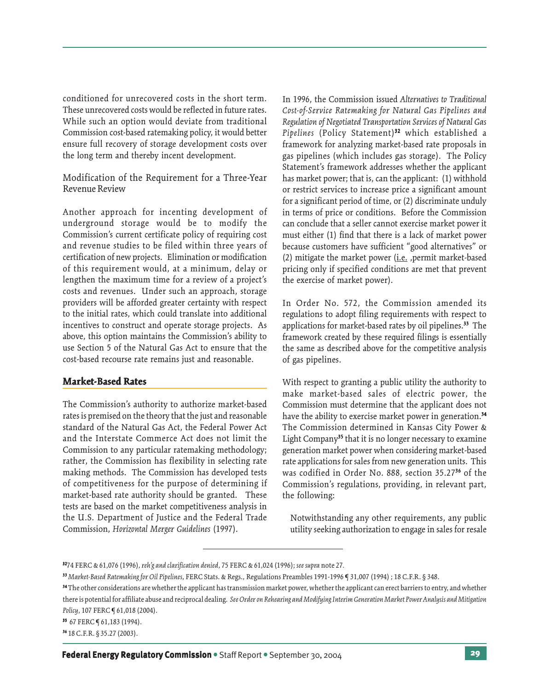conditioned for unrecovered costs in the short term. These unrecovered costs would be reflected in future rates. While such an option would deviate from traditional Commission cost-based ratemaking policy, it would better ensure full recovery of storage development costs over the long term and thereby incent development.

Modification of the Requirement for a Three-Year Revenue Review

Another approach for incenting development of underground storage would be to modify the Commission's current certificate policy of requiring cost and revenue studies to be filed within three years of certification of new projects. Elimination or modification of this requirement would, at a minimum, delay or lengthen the maximum time for a review of a project's costs and revenues. Under such an approach, storage providers will be afforded greater certainty with respect to the initial rates, which could translate into additional incentives to construct and operate storage projects. As above, this option maintains the Commission's ability to use Section 5 of the Natural Gas Act to ensure that the cost-based recourse rate remains just and reasonable.

#### **Market-Based Rates**

The Commission's authority to authorize market-based rates is premised on the theory that the just and reasonable standard of the Natural Gas Act, the Federal Power Act and the Interstate Commerce Act does not limit the Commission to any particular ratemaking methodology; rather, the Commission has flexibility in selecting rate making methods. The Commission has developed tests of competitiveness for the purpose of determining if market-based rate authority should be granted. These tests are based on the market competitiveness analysis in the U.S. Department of Justice and the Federal Trade Commission, *Horizontal Merger Guidelines* (1997).

In 1996, the Commission issued *Alternatives to Traditional Cost-of-Service Ratemaking for Natural Gas Pipelines and Regulation of Negotiated Transportation Services of Natural Gas* Pipelines (Policy Statement)<sup>32</sup> which established a framework for analyzing market-based rate proposals in gas pipelines (which includes gas storage). The Policy Statement's framework addresses whether the applicant has market power; that is, can the applicant: (1) withhold or restrict services to increase price a significant amount for a significant period of time, or (2) discriminate unduly in terms of price or conditions. Before the Commission can conclude that a seller cannot exercise market power it must either (1) find that there is a lack of market power because customers have sufficient "good alternatives" or (2) mitigate the market power  $(i.e.$  , permit market-based pricing only if specified conditions are met that prevent the exercise of market power).

In Order No. 572, the Commission amended its regulations to adopt filing requirements with respect to applications for market-based rates by oil pipelines.<sup>33</sup> The framework created by these required filings is essentially the same as described above for the competitive analysis of gas pipelines.

With respect to granting a public utility the authority to make market-based sales of electric power, the Commission must determine that the applicant does not have the ability to exercise market power in generation.<sup>34</sup> The Commission determined in Kansas City Power & Light Company<sup>35</sup> that it is no longer necessary to examine generation market power when considering market-based rate applications for sales from new generation units. This was codified in Order No. 888, section 35.2736 of the Commission's regulations, providing, in relevant part, the following:

Notwithstanding any other requirements, any public utility seeking authorization to engage in sales for resale

35 67 FERC ¶ 61,183 (1994).

36 18 C.F.R. § 35.27 (2003).

<sup>3274</sup> FERC & 61,076 (1996), *reh'g and clarification denied*, 75 FERC & 61,024 (1996); *see supra* note 27*.*

<sup>33</sup> *Market-Based Ratemaking for Oil Pipelines*, FERC Stats. & Regs., Regulations Preambles 1991-1996 ¶ 31,007 (1994) ; 18 C.F.R. § 348.

<sup>34</sup> The other considerations are whether the applicant has transmission market power, whether the applicant can erect barriers to entry, and whether there is potential for affiliate abuse and reciprocal dealing. *See Order on Rehearing and Modifying Interim Generation Market Power Analysis and Mitigation Policy*, 107 FERC ¶ 61,018 (2004).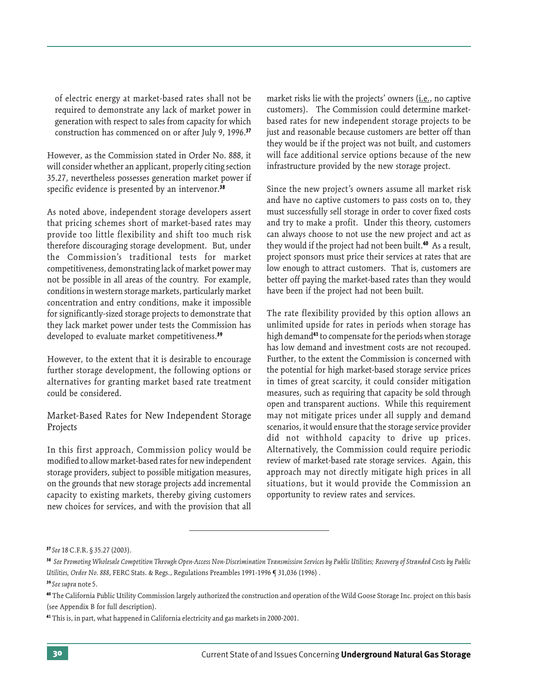of electric energy at market-based rates shall not be required to demonstrate any lack of market power in generation with respect to sales from capacity for which construction has commenced on or after July 9, 1996.37

However, as the Commission stated in Order No. 888, it will consider whether an applicant, properly citing section 35.27, nevertheless possesses generation market power if specific evidence is presented by an intervenor.<sup>38</sup>

As noted above, independent storage developers assert that pricing schemes short of market-based rates may provide too little flexibility and shift too much risk therefore discouraging storage development. But, under the Commission's traditional tests for market competitiveness, demonstrating lack of market power may not be possible in all areas of the country. For example, conditions in western storage markets, particularly market concentration and entry conditions, make it impossible for significantly-sized storage projects to demonstrate that they lack market power under tests the Commission has developed to evaluate market competitiveness.<sup>39</sup>

However, to the extent that it is desirable to encourage further storage development, the following options or alternatives for granting market based rate treatment could be considered.

Market-Based Rates for New Independent Storage Projects

In this first approach, Commission policy would be modified to allow market-based rates for new independent storage providers, subject to possible mitigation measures, on the grounds that new storage projects add incremental capacity to existing markets, thereby giving customers new choices for services, and with the provision that all

market risks lie with the projects' owners (i.e., no captive customers). The Commission could determine marketbased rates for new independent storage projects to be just and reasonable because customers are better off than they would be if the project was not built, and customers will face additional service options because of the new infrastructure provided by the new storage project.

Since the new project's owners assume all market risk and have no captive customers to pass costs on to, they must successfully sell storage in order to cover fixed costs and try to make a profit. Under this theory, customers can always choose to not use the new project and act as they would if the project had not been built.<sup>40</sup> As a result, project sponsors must price their services at rates that are low enough to attract customers. That is, customers are better off paying the market-based rates than they would have been if the project had not been built.

The rate flexibility provided by this option allows an unlimited upside for rates in periods when storage has high demand<sup>41</sup> to compensate for the periods when storage has low demand and investment costs are not recouped. Further, to the extent the Commission is concerned with the potential for high market-based storage service prices in times of great scarcity, it could consider mitigation measures, such as requiring that capacity be sold through open and transparent auctions. While this requirement may not mitigate prices under all supply and demand scenarios, it would ensure that the storage service provider did not withhold capacity to drive up prices. Alternatively, the Commission could require periodic review of market-based rate storage services. Again, this approach may not directly mitigate high prices in all situations, but it would provide the Commission an opportunity to review rates and services.

<sup>37</sup> *See* 18 C.F.R. § 35.27 (2003).

<sup>38</sup> *See Promoting Wholesale Competition Through Open-Access Non-Discrimination Transmission Services by Public Utilities; Recovery of Stranded Costs by Public Utilities, Order No. 888*, FERC Stats. & Regs., Regulations Preambles 1991-1996 ¶ 31,036 (1996) .

<sup>39</sup> *See supra* note 5.

<sup>40</sup> The California Public Utility Commission largely authorized the construction and operation of the Wild Goose Storage Inc. project on this basis (see Appendix B for full description).

<sup>41</sup> This is, in part, what happened in California electricity and gas markets in 2000-2001.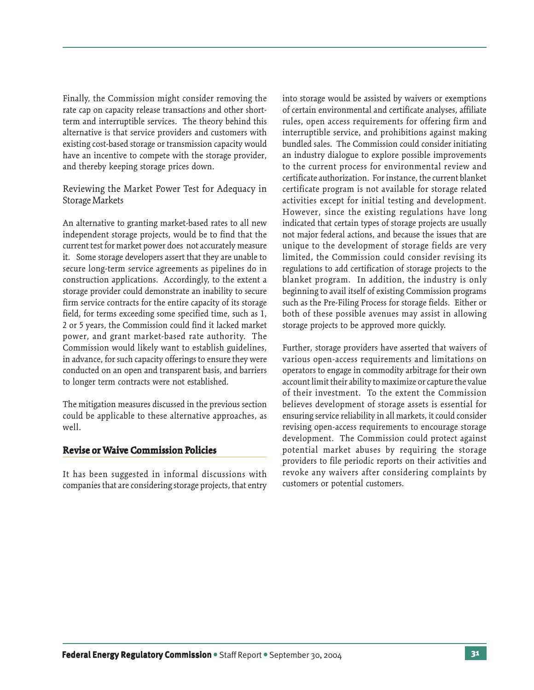Finally, the Commission might consider removing the rate cap on capacity release transactions and other shortterm and interruptible services. The theory behind this alternative is that service providers and customers with existing cost-based storage or transmission capacity would have an incentive to compete with the storage provider, and thereby keeping storage prices down.

Reviewing the Market Power Test for Adequacy in Storage Markets

An alternative to granting market-based rates to all new independent storage projects, would be to find that the current test for market power does not accurately measure it. Some storage developers assert that they are unable to secure long-term service agreements as pipelines do in construction applications. Accordingly, to the extent a storage provider could demonstrate an inability to secure firm service contracts for the entire capacity of its storage field, for terms exceeding some specified time, such as 1, 2 or 5 years, the Commission could find it lacked market power, and grant market-based rate authority. The Commission would likely want to establish guidelines, in advance, for such capacity offerings to ensure they were conducted on an open and transparent basis, and barriers to longer term contracts were not established.

The mitigation measures discussed in the previous section could be applicable to these alternative approaches, as well.

#### **Revise or Waive Commission Policies olicies**

It has been suggested in informal discussions with companies that are considering storage projects, that entry into storage would be assisted by waivers or exemptions of certain environmental and certificate analyses, affiliate rules, open access requirements for offering firm and interruptible service, and prohibitions against making bundled sales. The Commission could consider initiating an industry dialogue to explore possible improvements to the current process for environmental review and certificate authorization. For instance, the current blanket certificate program is not available for storage related activities except for initial testing and development. However, since the existing regulations have long indicated that certain types of storage projects are usually not major federal actions, and because the issues that are unique to the development of storage fields are very limited, the Commission could consider revising its regulations to add certification of storage projects to the blanket program. In addition, the industry is only beginning to avail itself of existing Commission programs such as the Pre-Filing Process for storage fields. Either or both of these possible avenues may assist in allowing storage projects to be approved more quickly.

Further, storage providers have asserted that waivers of various open-access requirements and limitations on operators to engage in commodity arbitrage for their own account limit their ability to maximize or capture the value of their investment. To the extent the Commission believes development of storage assets is essential for ensuring service reliability in all markets, it could consider revising open-access requirements to encourage storage development. The Commission could protect against potential market abuses by requiring the storage providers to file periodic reports on their activities and revoke any waivers after considering complaints by customers or potential customers.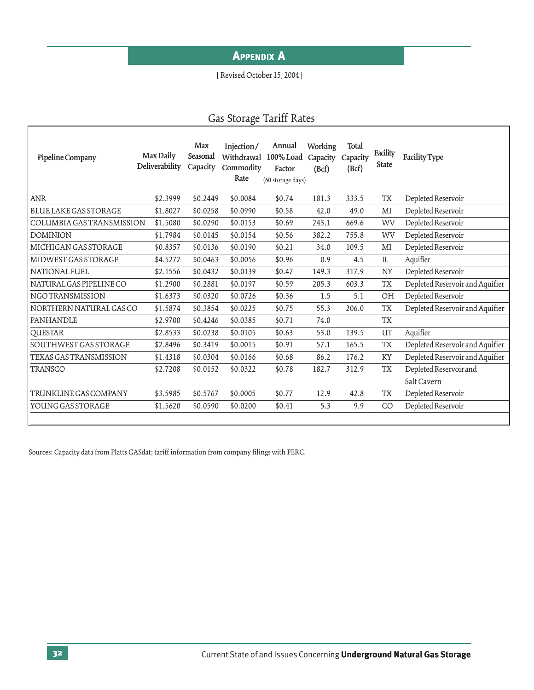# **APPENDIX A**

## [ Revised October 15, 2004 ]

# Gas Storage Tariff Rates

| Pipeline Company              | Max Daily<br>Deliverability | Max<br>Seasonal<br>Capacity | Injection/<br>Withdrawal<br>Commodity<br>Rate | Annual<br>100% Load<br>Factor<br>(60 storage days) | Working<br>Capacity<br>(Bcf) | Total<br>Capacity<br>(Bcf) | Facility<br><b>State</b> | Facility Type                   |
|-------------------------------|-----------------------------|-----------------------------|-----------------------------------------------|----------------------------------------------------|------------------------------|----------------------------|--------------------------|---------------------------------|
| <b>ANR</b>                    | \$2.3999                    | \$0.2449                    | \$0.0084                                      | \$0.74                                             | 181.3                        | 333.5                      | <b>TX</b>                | Depleted Reservoir              |
| <b>BLUE LAKE GAS STORAGE</b>  | \$1.8027                    | \$0.0258                    | \$0.0990                                      | \$0.58                                             | 42.0                         | 49.0                       | MI                       | Depleted Reservoir              |
| COLUMBIA GAS TRANSMISSION     | \$1.5080                    | \$0.0290                    | \$0.0153                                      | \$0.69                                             | 243.1                        | 669.6                      | WV                       | Depleted Reservoir              |
| <b>DOMINION</b>               | \$1.7984                    | \$0.0145                    | \$0.0154                                      | \$0.56                                             | 382.2                        | 755.8                      | WV                       | Depleted Reservoir              |
| MICHIGAN GAS STORAGE          | \$0.8357                    | \$0.0136                    | \$0.0190                                      | \$0.21                                             | 34.0                         | 109.5                      | MI                       | Depleted Reservoir              |
| MIDWEST GAS STORAGE           | \$4.5272                    | \$0.0463                    | \$0.0056                                      | \$0.96                                             | 0.9                          | 4.5                        | $\mathbbm{L}$            | Aquifier                        |
| <b>NATIONAL FUEL</b>          | \$2.1556                    | \$0.0432                    | \$0.0139                                      | \$0.47                                             | 149.3                        | 317.9                      | NY                       | Depleted Reservoir              |
| NATURAL GAS PIPELINE CO       | \$1.2900                    | \$0.2881                    | \$0.0197                                      | \$0.59                                             | 205.3                        | 603.3                      | <b>TX</b>                | Depleted Reservoir and Aquifier |
| <b>NGO TRANSMISSION</b>       | \$1.6373                    | \$0.0320                    | \$0.0726                                      | \$0.36                                             | 1.5                          | 5.1                        | OH                       | Depleted Reservoir              |
| NORTHERN NATURAL GAS CO       | \$1.5874                    | \$0.3854                    | \$0.0225                                      | \$0.75                                             | 55.3                         | 206.0                      | <b>TX</b>                | Depleted Reservoir and Aquifier |
| PANHANDLE                     | \$2.9700                    | \$0.4246                    | \$0.0385                                      | \$0.71                                             | 74.0                         |                            | <b>TX</b>                |                                 |
| <b>QUESTAR</b>                | \$2.8533                    | \$0.0238                    | \$0.0105                                      | \$0.63                                             | 53.0                         | 139.5                      | UT                       | Aquifier                        |
| SOUTHWEST GAS STORAGE         | \$2.8496                    | \$0.3419                    | \$0.0015                                      | \$0.91                                             | 57.1                         | 165.5                      | <b>TX</b>                | Depleted Reservoir and Aquifier |
| <b>TEXAS GAS TRANSMISSION</b> | \$1.4318                    | \$0.0304                    | \$0.0166                                      | \$0.68                                             | 86.2                         | 176.2                      | KY                       | Depleted Reservoir and Aquifier |
| <b>TRANSCO</b>                | \$2.7208                    | \$0.0152                    | \$0.0322                                      | \$0.78                                             | 182.7                        | 312.9                      | <b>TX</b>                | Depleted Reservoir and          |
|                               |                             |                             |                                               |                                                    |                              |                            |                          | Salt Cavern                     |
| TRUNKLINE GAS COMPANY         | \$3.5985                    | \$0.5767                    | \$0.0005                                      | \$0.77                                             | 12.9                         | 42.8                       | <b>TX</b>                | Depleted Reservoir              |
| YOUNG GAS STORAGE             | \$1.5620                    | \$0.0590                    | \$0.0200                                      | \$0.41                                             | 5.3                          | 9.9                        | CO                       | Depleted Reservoir              |
|                               |                             |                             |                                               |                                                    |                              |                            |                          |                                 |

Sources: Capacity data from Platts GASdat; tariff information from company filings with FERC.

ſ